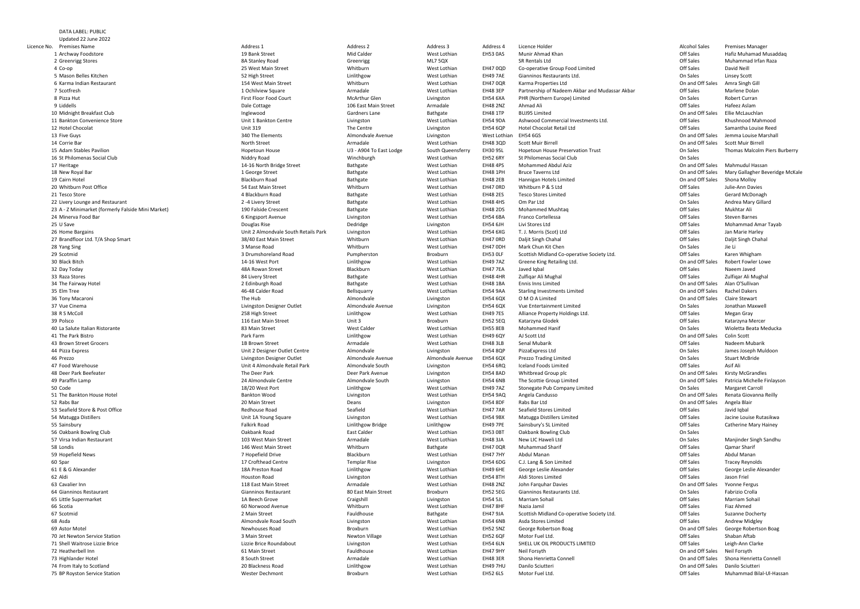| <b>Premises Name</b>                              | Address 1                            | Address 2               | Address 3         | Address 4       | Licence Holder                                 | <b>Alcohol Sales</b> | <b>Premises Manager</b>              |
|---------------------------------------------------|--------------------------------------|-------------------------|-------------------|-----------------|------------------------------------------------|----------------------|--------------------------------------|
| 1 Archway Foodstore                               | 19 Bank Street                       | Mid Calder              | West Lothian      | EH53 0AS        | Munir Ahmad Khan                               | Off Sales            | Hafiz Muhamad Musaddaq               |
| 2 Greenrigg Stores                                | 8A Stanley Road                      | Greenrigg               | ML7 5QX           |                 | SR Rentals Ltd                                 | Off Sales            | Muhammad Irfan Raza                  |
| 4 Co-op                                           | 25 West Main Street                  | Whitburn                | West Lothian      | <b>EH47 0QD</b> | Co-operative Group Food Limited                | Off Sales            | David Neill                          |
|                                                   |                                      |                         |                   |                 |                                                |                      |                                      |
| 5 Mason Belles Kitchen                            | 52 High Street                       | Linlithgow              | West Lothian      | <b>EH49 7AE</b> | Gianninos Restaurants Ltd.                     | On Sales             | Linsey Scott                         |
| 6 Karma Indian Restaurant                         | 154 West Main Street                 | Whitburn                | West Lothian      | <b>EH47 0QR</b> | Karma Properties Ltd                           | On and Off Sales     | Amra Singh Gill                      |
| 7 Scotfresh                                       | 1 Ochilview Square                   | Armadale                | West Lothian      | <b>EH48 3EP</b> | Partnership of Nadeem Akbar and Mudassar Akbar | Off Sales            | Marlene Dolan                        |
| 8 Pizza Hut                                       | <b>First Floor Food Court</b>        | <b>McArthur Glen</b>    | Livingston        | <b>EH54 6XA</b> | PHR (Northern Europe) Limited                  | On Sales             | <b>Robert Curran</b>                 |
| 9 Liddells                                        | Dale Cottage                         | 106 East Main Street    | Armadale          | <b>EH48 2NZ</b> | Ahmad Ali                                      | Off Sales            | Hafeez Aslam                         |
| 0 Midnight Breakfast Club                         | Inglewood                            | Gardners Lane           | Bathgate          | <b>EH48 1TP</b> | <b>BUJ95 Limited</b>                           | On and Off Sales     | Ellie McLauchlan                     |
|                                                   |                                      |                         |                   |                 |                                                |                      |                                      |
| 1 Bankton Convenience Store                       | Unit 1 Bankton Centre                | Livingston              | West Lothian      | <b>EH54 9DA</b> | Ashwood Commercial Investments Ltd.            | Off Sales            | Khushnood Mahmood                    |
| 2 Hotel Chocolat                                  | <b>Unit 319</b>                      | The Centre              | Livingston        | <b>EH54 6QP</b> | <b>Hotel Chocolat Retail Ltd</b>               | Off Sales            | Samantha Louise Reed                 |
| 3 Five Guys                                       | 340 The Elements                     | Almondvale Avenue       | Livingston        | West Lothian    | <b>EH54 6GS</b>                                | On and Off Sales     | Jemma Louise Marshall                |
| 4 Corrie Bar                                      | North Street                         | Armadale                | West Lothian      | <b>EH48 3QD</b> | <b>Scott Muir Birrell</b>                      | On and Off Sales     | <b>Scott Muir Birrell</b>            |
| 5 Adam Stables Pavilion                           | Hopetoun House                       | U3 - A904 To East Lodge | South Queensferry | <b>EH30 9SL</b> | <b>Hopetoun House Preservation Trust</b>       | On Sales             | <b>Thomas Malcolm Piers Burberry</b> |
|                                                   |                                      |                         |                   |                 |                                                |                      |                                      |
| 6 St Philomenas Social Club                       | Niddry Road                          | Winchburgh              | West Lothian      | <b>EH52 6RY</b> | St Philomenas Social Club                      | On Sales             |                                      |
| 7 Heritage                                        | 14-16 North Bridge Street            | Bathgate                | West Lothian      | <b>EH48 4PS</b> | <b>Mohammed Abdul Aziz</b>                     | On and Off Sales     | Mahmudul Hassan                      |
| 8 New Royal Bar                                   | 1 George Street                      | Bathgate                | West Lothian      | <b>EH48 1PH</b> | <b>Bruce Taverns Ltd</b>                       | On and Off Sales     | Mary Gallagher Beveridge McKa        |
| 9 Cairn Hotel                                     | <b>Blackburn Road</b>                | Bathgate                | West Lothian      | <b>EH48 2EB</b> | Hannigan Hotels Limited                        | On and Off Sales     | Shona Molloy                         |
| 0 Whitburn Post Office                            | 54 East Main Street                  | Whitburn                | West Lothian      | EH47 ORD        | Whitburn P & S Ltd                             | Off Sales            | Julie-Ann Davies                     |
| 1 Tesco Store                                     | 4 Blackburn Road                     |                         |                   |                 | <b>Tesco Stores Limited</b>                    | Off Sales            |                                      |
|                                                   |                                      | Bathgate                | West Lothian      | <b>EH48 2ES</b> |                                                |                      | Gerard McDonagh                      |
| 2 Livery Lounge and Restaurant                    | 2 -4 Livery Street                   | Bathgate                | West Lothian      | <b>EH48 4HS</b> | Om Par Ltd                                     | On Sales             | Andrea Mary Gillard                  |
| 3 A - Z Minimarket (formerly Falside Mini Market) | 190 Falside Crescent                 | Bathgate                | West Lothian      | <b>EH48 2DS</b> | <b>Mohammed Mushtag</b>                        | Off Sales            | Mukhtar Ali                          |
| 4 Minerva Food Bar                                | 6 Kingsport Avenue                   | Livingston              | West Lothian      | <b>EH54 6BA</b> | <b>Franco Cortellessa</b>                      | Off Sales            | <b>Steven Barnes</b>                 |
| 5 U Save                                          | Douglas Rise                         | Dedridge                | Livingston        | <b>EH54 6JH</b> | Livi Stores Ltd                                | Off Sales            | Mohammad Amar Tayab                  |
| 6 Home Bargains                                   | Unit 2 Almondvale South Retails Park | Livingston              | West Lothian      | <b>EH54 6XG</b> | T. J. Morris (Scot) Ltd                        | Off Sales            | Jan Marie Harley                     |
|                                                   |                                      |                         |                   |                 |                                                |                      |                                      |
| 7 Brandfloor Ltd. T/A Shop Smart                  | 38/40 East Main Street               | Whitburn                | West Lothian      | EH47 ORD        | Daljit Singh Chahal                            | Off Sales            | Daljit Singh Chahal                  |
| 8 Yang Sing                                       | 3 Manse Road                         | Whitburn                | West Lothian      | EH47 ODH        | Mark Chun Kit Chen                             | On Sales             | Jie Li                               |
| 9 Scotmid                                         | 3 Drumshoreland Road                 | Pumpherston             | Broxburn          | EH53 OLF        | Scottish Midland Co-operative Society Ltd.     | Off Sales            | Karen Whigham                        |
| 0 Black Bitch                                     | 14-16 West Port                      | Linlithgow              | West Lothian      | <b>EH49 7AZ</b> | Greene King Retailing Ltd.                     | On and Off Sales     | <b>Robert Fowler Lowe</b>            |
| 2 Day Today                                       | 48A Rowan Street                     | Blackburn               | West Lothian      | <b>EH47 7EA</b> | Javed Iqbal                                    | Off Sales            | Naeem Javed                          |
| 3 Raza Stores                                     | 84 Livery Street                     | Bathgate                | West Lothian      | <b>EH48 4HR</b> | Zulfiqar Ali Mughal                            | Off Sales            | Zulfiqar Ali Mughal                  |
|                                                   |                                      |                         |                   |                 |                                                |                      |                                      |
| 4 The Fairway Hotel                               | 2 Edinburgh Road                     | Bathgate                | West Lothian      | <b>EH48 1BA</b> | Ennis Inns Limited                             | On and Off Sales     | Alan O'Sullivan                      |
| 5 Elm Tree                                        | 46-48 Calder Road                    | Bellsquarry             | West Lothian      | <b>EH54 9AA</b> | <b>Starling Investments Limited</b>            | On and Off Sales     | <b>Rachel Dakers</b>                 |
| 6 Tony Macaroni                                   | The Hub                              | Almondvale              | Livingston        | <b>EH54 6QX</b> | O M O A Limited                                | On and Off Sales     | <b>Claire Stewart</b>                |
| 7 Vue Cinema                                      | Livingston Designer Outlet           | Almondvale Avenue       | Livingston        | <b>EH54 6QX</b> | Vue Entertainment Limited                      | On Sales             | Jonathan Maxwell                     |
| 8 R S McColl                                      | 258 High Street                      | Linlithgow              | West Lothian      | <b>EH49 7ES</b> | Alliance Property Holdings Ltd.                | Off Sales            | Megan Gray                           |
|                                                   |                                      |                         |                   |                 |                                                |                      |                                      |
| 9 Polsco                                          | 116 East Main Street                 | Unit 3                  | Broxburn          | <b>EH52 5EQ</b> | Katarzyna Glodek                               | Off Sales            | Katarzyna Mercer                     |
| 0 La Salute Italian Ristorante                    | 83 Main Street                       | <b>West Calder</b>      | West Lothian      | <b>EH55 8EB</b> | <b>Mohammed Hanif</b>                          | On Sales             | Wioletta Beata Meducka               |
| 1 The Park Bistro                                 | Park Farm                            | Linlithgow              | West Lothian      | <b>EH49 6QY</b> | AJ Scott Ltd                                   | On and Off Sales     | Colin Scott                          |
| 3 Brown Street Grocers                            | 1B Brown Street                      | Armadale                | West Lothian      | <b>EH48 3LB</b> | Senal Mubarik                                  | <b>Off Sales</b>     | Nadeem Mubarik                       |
| 4 Pizza Express                                   | Unit 2 Designer Outlet Centre        | Almondvale              | Livingston        | <b>EH54 8QP</b> | PizzaExpress Ltd                               | On Sales             | James Joseph Muldoon                 |
| 6 Prezzo                                          |                                      | Almondvale Avenue       | Almondvale Avenue |                 |                                                | On Sales             | <b>Stuart McBride</b>                |
|                                                   | Livingston Designer Outlet           |                         |                   | <b>EH54 6QX</b> | <b>Prezzo Trading Limited</b>                  |                      |                                      |
| 7 Food Warehouse                                  | Unit 4 Almondvale Retail Park        | Almondvale South        | Livingston        | <b>EH54 6RQ</b> | <b>Iceland Foods Limited</b>                   | Off Sales            | Asif Ali                             |
| 8 Deer Park Beefeater                             | The Deer Park                        | Deer Park Avenue        | Livingston        | <b>EH54 8AD</b> | Whitbread Group plc                            | On and Off Sales     | <b>Kirsty McGrandles</b>             |
| 9 Paraffin Lamp                                   | 24 Almondvale Centre                 | Almondvale South        | Livingston        | <b>EH54 6NB</b> | The Scottie Group Limited                      | On and Off Sales     | Patricia Michelle Finlayson          |
| 0 Code                                            | 18/20 West Port                      | Linlithgow              | West Lothian      | <b>EH49 7AZ</b> | Stonegate Pub Company Limited                  | On Sales             | Margaret Carroll                     |
| 1 The Bankton House Hotel                         | <b>Bankton Wood</b>                  |                         | West Lothian      | <b>EH54 9AQ</b> | Angela Candusso                                | On and Off Sales     | Renata Giovanna Reilly               |
|                                                   |                                      | Livingston              |                   |                 |                                                |                      |                                      |
| 2 Rabs Bar                                        | 20 Main Street                       | Deans                   | Livingston        | <b>EH54 8DF</b> | Rabs Bar Ltd                                   | On and Off Sales     | Angela Blair                         |
| 3 Seafield Store & Post Office                    | Redhouse Road                        | Seafield                | West Lothian      | <b>EH47 7AR</b> | <b>Seafield Stores Limited</b>                 | Off Sales            | Javid Iqbal                          |
| 4 Matugga Distillers                              | Unit 1A Young Square                 | Livingston              | West Lothian      | <b>EH54 9BX</b> | Matugga Distillers Limited                     | Off Sales            | Jacine Louise Rutasikwa              |
| 5 Sainsbury                                       | <b>Falkirk Road</b>                  | Linlithgow Bridge       | Linlithgow        | <b>EH49 7PE</b> | Sainsbury's SL Limited                         | Off Sales            | <b>Catherine Mary Hainey</b>         |
| 6 Oakbank Bowling Club                            | Oakbank Road                         | <b>East Calder</b>      | West Lothian      | EH53 OBT        | <b>Oakbank Bowling Club</b>                    | On Sales             |                                      |
|                                                   |                                      |                         |                   |                 |                                                |                      |                                      |
| 7 Virsa Indian Restaurant                         | 103 West Main Street                 | Armadale                | West Lothian      | <b>EH48 3JA</b> | New LIC Haweli Ltd                             | On Sales             | Manjinder Singh Sandhu               |
| 8 Londis                                          | 146 West Main Street                 | Whitburn                | Bathgate          | <b>EH47 0QR</b> | <b>Muhammad Sharif</b>                         | Off Sales            | Qamar Sharif                         |
| 9 Hopefield News                                  | 7 Hopefield Drive                    | Blackburn               | West Lothian      | <b>EH47 7HY</b> | Abdul Manan                                    | Off Sales            | Abdul Manan                          |
| 0 Spar                                            | 17 Crofthead Centre                  | <b>Templar Rise</b>     | Livingston        | <b>EH54 6DG</b> | C.J. Lang & Son Limited                        | Off Sales            | <b>Tracey Reynolds</b>               |
| 1 E & G Alexander                                 | 18A Preston Road                     | Linlithgow              | West Lothian      | <b>EH49 6HE</b> | George Leslie Alexander                        | Off Sales            | George Leslie Alexander              |
| 2 Aldi                                            | <b>Houston Road</b>                  |                         | West Lothian      | <b>EH54 8TH</b> | Aldi Stores Limited                            | Off Sales            | Jason Friel                          |
|                                                   |                                      | Livingston              |                   |                 |                                                |                      |                                      |
| 3 Cavalier Inn                                    | 118 East Main Street                 | Armadale                | West Lothian      | <b>EH48 2NZ</b> | John Farquhar Davies                           | On and Off Sales     | <b>Yvonne Fergus</b>                 |
| 4 Gianninos Restaurant                            | <b>Gianninos Restaurant</b>          | 80 East Main Street     | Broxburn          | <b>EH52 5EG</b> | Gianninos Restaurants Ltd.                     | On Sales             | Fabrizio Crolla                      |
| 5 Little Supermarket                              | 1A Beech Grove                       | Craigshill              | Livingston        | <b>EH54 5JL</b> | Marriam Sohail                                 | Off Sales            | <b>Marriam Sohail</b>                |
| 6 Scotia                                          | 60 Norwood Avenue                    | Whitburn                | West Lothian      | <b>EH47 8HF</b> | Nazia Jamil                                    | Off Sales            | Fiaz Ahmed                           |
| 7 Scotmid                                         | 2 Main Street                        | Fauldhouse              | Bathgate          | <b>EH47 9JA</b> | Scottish Midland Co-operative Society Ltd.     | Off Sales            | <b>Suzanne Docherty</b>              |
|                                                   |                                      |                         |                   |                 |                                                |                      |                                      |
| 8 Asda                                            | Almondvale Road South                | Livingston              | West Lothian      | <b>EH54 6NB</b> | Asda Stores Limited                            | Off Sales            | <b>Andrew Midgley</b>                |
| 9 Astor Motel                                     | <b>Newhouses Road</b>                | Broxburn                | West Lothian      | <b>EH52 5NZ</b> | George Robertson Boag                          | On and Off Sales     | George Robertson Boag                |
| 0 Jet Newton Service Station                      | 3 Main Street                        | <b>Newton Village</b>   | West Lothian      | <b>EH52 6QF</b> | Motor Fuel Ltd.                                | Off Sales            | Shaban Aftab                         |
| 1 Shell Waitrose Lizzie Brice                     | Lizzie Brice Roundabout              | Livingston              | West Lothian      | <b>EH54 6LN</b> | SHELL UK OIL PRODUCTS LIMITED                  | <b>Off Sales</b>     | Leigh-Ann Clarke                     |
| 2 Heatherbell Inn                                 | 61 Main Street                       | Fauldhouse              | West Lothian      | <b>EH47 9HY</b> | Neil Forsyth                                   | On and Off Sales     | Neil Forsyth                         |
|                                                   |                                      |                         |                   |                 |                                                |                      |                                      |
| 3 Highlander Hotel                                | 8 South Street                       | Armadale                | West Lothian      | <b>EH48 3ER</b> | Shona Henrietta Connell                        | On and Off Sales     | Shona Henrietta Connell              |
| 4 From Italy to Scotland                          | 20 Blackness Road                    | Linlithgow              | West Lothian      | <b>EH49 7HU</b> | Danilo Sciutteri                               | On and Off Sales     | Danilo Sciutteri                     |
| 5 BP Royston Service Station                      | <b>Wester Dechmont</b>               | Broxburn                | West Lothian      | <b>EH52 6LS</b> | Motor Fuel Ltd.                                | Off Sales            | Muhammad Bilal-Ul-Hassan             |
|                                                   |                                      |                         |                   |                 |                                                |                      |                                      |

Ellie McLauchlan Jemma Louise Marshall On and Off Sales Scott Muir Birrell<br>On Sales Thomas Malcolm Piers Burberry On and Off Sales Mary Gallagher Beveridge McKale<br>On and Off Sales Shona Molloy **Robert Fowler Lowe** 

DATA LABEL: PUBLIC Updated 22 June 2022Licence No. Premises Namee Address 1 1 Archway Foodstore 1 Archway Foodstore **Mid Calder** West Lothian New York Channel Mid Calder Mid Calder Mid Calder West Lothian 2 Greenrigg Stores and the state of the state of the state of the state of the state of the state of the state of the state of the state of the state of the state of the state of the state of the state of the state of the 4 Co-opp and the US West Main Street and Street whitburn whitburn west Lothian EH47 0QD 5 Mason Belles Kitchen6 Karma Indian Restaurant 154 West Main Street Whitburn7 Scotfresh8 Pizza Hut 8 Pizza Hut **McArthur Glen** McArthur Glen McArthur Glen McArthur Glen McArthur Glen McArthur Glen McArthur Glen 9 Liddells 10 Midnight Breakfast Club11 Bankton Convenience Store **Unit 1 Bankton Centre** Unit 1 Bankton Centre Livingston 12 Hotel Chocolat 2 Hotel Chocolat **Example 2 Is a Constant Constructed Unit 319** Unit 319 The Centre **Livingston** 13 Five Guys 340 The Elements **310 The Almondvale Avenue** Livingston Livingston Companies Almondvale Avenue Livingston 14 Corrie Bar A Corrie Bar North Street **Armadale** West Lothian North Street Armadale Nest Lothian 15 Adam Stables Pavilion16 St Philomenas Social Club17 Heritage 18 New Royal Bar 8 New Royal Bar New York 1 George Street Area and Bathgate Bathgate West Lothian 19 Cairn Hotel 20 Whitburn Post Office **64 Contract Contract Contract Contract Contract Contract Contract Contract Contract Contract Contract Contract Contract Contract Contract Contract Contract Contract Contract Contract Contract Contr** 21 Tesco Store 22 Livery Lounge and Restaurant **2** -4 Livery Street **2 -8 Livery Street** Bathgate Bathgate West Lothian 23 A - Z Minimarket (formerly Falside Mini Market) **190 Falside Crescent** Bathgate Bathgate West Lothian 24 Minerva Food Bar 25 U Save 5 U Save **Douglas Rise Douglas Rise Douglas Rise Dedridge Livingston** 26 Home Bargains 27 Brandfloor Ltd. T/A Shop Smart **38/40 East Main Street** Whitburn 28 Yang Sing Yang Sing 3 Manse Road29 Scotmid30 Black Bitch 14-16 West Port Linlithgow32 Day Today 2 Day Today **All Accords 2 Orange Street** All Accords 2 ASA Rowan Street All Accords 2 ASA Rowan Street Blackburn 33 Raza Stores 3 Raza Stores **84 Livery Street** Bathgate Bathgate West Lothian 34 The Fairway Hotel 2 Edinburgh Road35 Elm Tree 36 Tony Macaroni The Hub37 Vue Cinema 38 R S McColl 8 R S McColl 258 High Street 258 High Street 258 High Street 258 High Street 258 High Street 2012 Linlithgow 39 Polscoo and the EH52 SEQ and the EH52 SEQ and the EH52 SEQ and the EH52 SEQ 40 La Salute Italian Ristorante 83 Main Street West Calder West Lothian41 The Park Bistroo and the contract of the contract of the contract of the contract of the contract of the contract of the contract of the contract of the contract of the contract of the contract of the contract of the contract of the cont 43 Brown Street Grocers 3 Brown Street Grocers **1B Brown Street** 2 and Armadale 2 and Mest Lothian 44 Pizza Express 46 Prezzo47 Food Warehouse 48 Deer Park Beefeater 8 Deer Park Beefeater **Deer Park Avenue** Livingston Controller Park Avenue Livingston 49 Paraffin Lamp50O Code **18/20 West Port** 2012 20 West Port 2014 20 Mest Port 2014 20 Mest Port 2014 20 Mest Port 2014 20 Mest Port 51 The Bankton House Hotel **Bankton Wood** 52 Rabs Bar 20 Main Street **Deans** Deans Livingston Communication Communication Communication Communication Deans Livingston 53 Seafield Store & Post Office **Redhouse Road** 54 Matugga Distillers 55 Sainsbury Sainsbury **Falkirk Road** 56 Oakbank Bowling Club57 Virsa Indian Restaurant 7 Virsa Indian Restaurant West Lothian New York Chain Street Armadale Messachuset Research West Lothian 58 Londis 59 Hopefield News 9 Hopefield News Blackburn (Blackburn ) and the Movement of The Movement of The Movement of Blackburn (Blackburn 60 Spar 0 Spar 17 Crofthead Centre Templar Rise Livingston Livingston Contre Centre Contre Contre Livingston Contre Contre Livingston Contre Contre Contre Contre Contre Contre Contre Contre Contre Contre Contre Contre Contre Contr 61 E & G Alexander 62 Aldi 2 Aldi **Houston Road** 63 Cavalier Inn64 Gianninos Restaurant 4 Gianninos Restaurant **Gianninos Restaurant** 2005 Broxburn Broxburn Gianninos Restaurant 2005 Broxburn Broxburn 65 Little Supermarket 5 Little Supermarket **1A Beech Grove** 1A Beech Grove Craigshill Craigshill Livingston 66 Scotia 6 Scotia **60 Norwood Avenue** Whitburn 60 Norwood Avenue Whitburn Whitburn Whitburn Whitburn Whitburn Whitburn Whitburn Whitburn Whitburn Whitburn Whitburn Whitburn Whitburn Whitburn Whitburn Whitburn Whitburn Whitburn Whit 67 Scotmidd and the set of the SM and Street and Street and Street and Street and Street and Street and Street and Street Bathgate EH47 9JA 68 Asda 69 Astor Motel 70 Jet Newton Service Station71 Shell Waitrose Lizzie Brice Lizzie Brice Roundabout Livingston72 Heatherbell Inn73 Highlander Hotel 3 Highlander Hotel **States Armadale** 8 South Street **Armadale Metallism** West Lothian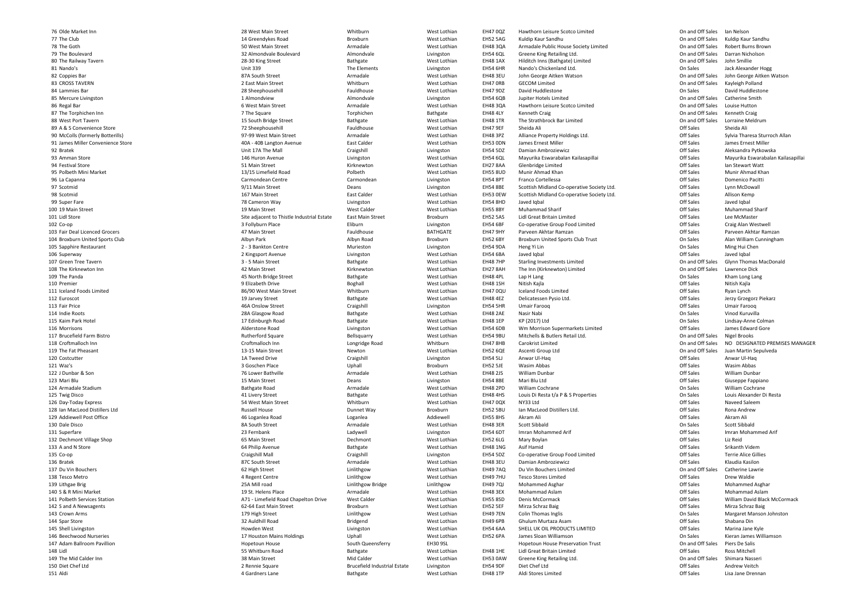76 Olde Market Inn77 The Club78 The Goth79 The Boulevard80 The Railway Tavern81 Nando's 82 Coppies Bar 83 CROSS TAVERN84 Lammies Bar 85 Mercure Livingston86 Regal Bar 87 The Torphichen Inn88 West Port Tavern89 A & S Convenience Store **Mateurs Convenience Store And Accord Convenience** Store Mest Lothian 90 McColls (formerly Botterills) 97-99 West Main Street Armadale West Lothian91 James Miller Convenience Store **40A - 40B Langton Avenue** East Calder East Calder Avenue East Calder West Lothian 92 Bratek 93 Amman Store 94 Festival Store 95 Polbeth Mini Market 2012 13/15 Limefield Road 96 La Capanna 97 Scotmid98 Scotmid99 Super Fare 100 19 Main Street 101 Lidl Store 102 Co-op103 Fair Deal Licenced Grocers 104 Broxburn United Sports Club105 Sapphire Restaurant Murieston Centre 2 - 3 Bankton Centre 2 - 2 Murieston Murieston 106 Superway 107 Green Tree Tavern108 The Kirknewton Inn109 The Panda 110 Premier 111 Iceland Foods Limited112 Euroscot 113 Fair Price 114 Indie Roots 115 Kaim Park Hotel 116 Morrisons 117 Brucefield Farm Bistro118 Croftmalloch Inn119 The Fat Pheasant 120 Costcutter 121 Waz's 122 J Dunbar & Son123 Mari Blu124 Armadale Stadium125 Twig Disco126 Day-Today Express 54 West Main Street Whitburn128 Ian MacLeod Distillers Ltd129 Addiewell Post Office 46 Loganlea Road130 Dale Disco131 Superfare 132 Dechmont Village Shop133 A and N Store 135 Co-op136 Bratek 137 Du Vin Bouchers 138 Tesco Metro 139 Lithgae Brig 25A Mill road140 S & R Mini Market 141 Polbeth Services Station 142 S and A Newsagents 143 Crown Arms 144 Spar Store 145 Shell Livingston146 Beechwood Nurseries 147 Adam Ballroom Pavillion148 Lidl 149 The Mid Calder Inn150 Diet Chef Ltd1511 Aldi 2008 Mest Lothian and America According to the According According to the Bathgate According to the West Lothian and According to the Mest Lothian and According to the Mest Lothian and According to the Mest Lothian

b 14 Greendykes Road Broxburn Broxburn West Lothian EH52 5AG h and the Solution of the Solution Street Armadale Armadale Nest Lothian EH48 3QA 1 Nando's **Nando's** Livingston Christian Christian Christian Christian Christian Christian Christian Christian Christian Christian Christian Christian Christian Christian Christian Christian Christian Christian Christian C 2 Coppies Bar **87A South Street** Armadale Mest Lothian West Lothian A Lammies Bar **28 Sheephousehill** 28 Sheephousehill Fauldhouse Fauldhouse West Lothian 1 Almondview6 Regal Bar 6 West Main Street Armadale Mest Lothian Street Armadale Mest Lothian n 15 South Bridge Street Bathgate Bathgate West Lothian EH48 1TR 2 Bratek **Exercise State Contract Craigshill** Unit 17A The Mall Craigshill Craigshill Livingston 3 Amman Store 146 Huron Avenue 2008 Livingston 2014 Livingston 2014 Muron Avenue 2014 Livingston 2014 Muron Avenue A Festival Store **Kirknewton** Street **51 Main Street** Street Kirknewton Kirknewton Polbeth West Lothian EH55 8UD6 La Capanna Carmondean Centre Carmondean Centre Carmondean Centre Carmondean Centre Carmondean d and the set of the street of the EH53 0EW of the Set Calder Calder Calder Controller EH53 0EW of the EH53 0EW of the Set Calder Calder Calder Calder Calder Calder Calder Calder Calder Calder Calder Calder Calder Calder C 9 Super Fare **The Contract of the Contract of Table 2**78 Cameron Way **Livingston** 0 19 Main Street 20 West Lothian Nest Lothian Nest Calder 20 West Calder 20 West Calder 20 West Lothian Site adjacent to Thistle Industrial Estate East Main Street Broxburn 2 Kingsport Avenue Livingston<br>
3 - 5 Main Street Communisty Bathgate n and the Main Street And Main Street And Messachuset Christian Messachuset Christian EH27 8AH 9 The Panda 2008 Mess Controllery and Absolute ASS North Bridge Street 2008 Bathgate 2008 Mess Lothian 0 Premier 20 Nest Lothian Superinten and Superinten and Superinten and Superinten and Superinten and Mest Lothian Superinten and Mest Lothian Superinten and Mest Lothian Superinten and Mest Lothian Superinten and Mest Loth d
and
the contract the studies of the S6/90 West Main Street
studies and the Whitburn
and the S6 of the S6 of the S6 of the S6 of the S6 of the S6 of the S6 of the S6 of the S6 of the S6 of the S6 of the S6 of the S6 of th 2 Euroscot 20 Nest Lothian and the Street 2 Australian and the Street Street Bathgate Street Nest Lothian and Mest Lothian and Mest Lothian and Mest Lothian and Mest Lothian and Mest Lothian and Mest Lothian and Mest Lothi 3 Fair Price **Access 20 Four Additionary 19th Craigshill** Access 20 Fair Price 20 Alivingston 28A Glasgow Road 17 Edinburgh Road Alderstone Road<br>Rutherford Square o and the state of the Rutherford Square and the Bellsquarry and the Section West Lothian The EH54 9BU n and Croftmalloch Inn and Longridge Road Mhitburn EH47 8HB 9 The Fat Pheasant Newton **13-15 Main Street** Newton Newton Newton Newton Newton Newton Newton Newton Newton Newton Newton Newton Newton Newton Newton Newton Newton Newton Newton Newton Newton Newton Newton Newton Newton N 0 Costcutter **1A Tweed Drive Craigshill** Craigshill Livingston 1 Waz's **Example 2 Additional Broxburn** 3 Goschen Place **No. 1 Additional Broxburn** Broxburn Broxburn d and the second of the Russell House and the Dunnet Way the Broxburn and the EH52 5BU of the Second EH52 5BU of the Second Second Second Second Second Second Second Second Second Second Second Second Second Second Second o and the SA South Street and SA South Street and SA South Street and SA South Street and SA South Street and Armadale SA South Street and SA South Street and SA South Street and SA South Street and SA South Street and SA 1 Superfare 23 Fernbank 23 Fernbank Ladywell Ladywell Ladywell Livingston p 1986 Main Street Contract Contract Dechmont Nest Lothian EH52 6LG 3 A and N Store **64 Philip Avenue** 64 Philip Avenue **Bathgate** Bathgate Mest Lothian 6 Bratek 2008 Mess Lothian Research Mess 27C South Street 2008 Mess 27C South Street 2008 Mess 2008 Mess 2008 Mess 2008 Mess 2008 Mess 2008 Mess 2008 Mess 2008 Mess 2008 Mess 2008 Mess 2008 Mess 2008 Mess 2008 Mess 2008 Me **2 Du Vin Bouchers** Linlithgow **Community Community Community Community Community Community Community Community Community Community Community Community Community Community Community Community Community Community Community** 8 Tesco Metro **Accord 2 Controller Centre** 4 Regent Centre **Accord 2 Controller Centre** Linlithgow 25A Mill road **Linlithgow Bridge Linlithgow Bridge Linlithgow** 0 S & R Mini Market Nest Lothian Nest Lothian Nest Lothian Nest Lothian Nest Lothian Nest Lothian A71 - Limefield Road Chapelton Drive West Calder West Lothian<br>
Broxburn Mest Collect West Lothian<br>
West Lothian 62-64 East Main Street Crown Arms 179 High Street Linlithgow32 Auldhill Road n and the Howden West Christian Christopher Christopher Christopher Christopher Christopher Christopher Christopher Christopher Christopher Christopher Christopher Christopher Christopher Christopher Christopher Christophe 17 Houston Mains Holdings **Nurseries 19 Houston Mains Holdings** Uphall West Lothian<br>Bouth Queensferry **Holdings** EH30 9SL 55 Whitburn Road n and the set of the SS Main Street and SS Main Street and SS Mid Calder And Calder And Mid Calder Construction CH53 0AW

 West Lothian EH54 8HDMurieston **EH54 9DA**  Livingston West Lothian EH54 6DBd Bridgend Bridgend West Lothian EH49 6PB

Livingston EH54 6HR West Lothian EH48 3EU<br>West Lothian EH47 0RB West Lothian EH48 3QA<br>Bathgate EH48 4LY West Lothian EH53 0DN<br>Livingston EH54 5DZ West Lothian EH27 8AA<br>West Lothian EH55 8UD West Lothian EH54 6BA<br>West Lothian EH48 7HP West Lothian EH48 1SH<br>West Lothian EH47 0QU Livingston EH54 5HR<br>West Lothian EH48 2AE West Lothian EH48 1NG<br>Livingston EH54 5DZ West Lothian EH48 3EU<br>West Lothian EH49 7AQ

n 28 West Main Street Whitburn Whitburn West Lothian EH47 0QZ Hawthorn Leisure Scotco Limited On and Off Sales Ian Nelson EH52 5AG Kuldip Kaur Sandhu (EH52 5AG Kuldip Kaur Sandhu China Brown)<br>EH48 3QA Armadale Public House Society Limited (EH48 3QA Armadale Public House Society Limited (EH48 3QA Armadale Public House Society Limited EH48 3QA Armadale Public House Society Limited CHS Contains On and Off Sales Robert Burns Brow<br>Chand Off Sales Darran Nicholson CHS4 6QL Greene King Retailing Ltd. 32 Almondvale Boulevard Almondvale Almondvale Livingston EH54 6QL Greene King Retailing Ltd. On and Off Sales Darran Nicholson 28-30 King Street Bathgate Bathgate West Lothian EH48 1AX Hilditch Inns (Bathgate) Limited On and Off Sales John Smillie Nando's Chickenland Ltd.<br>
Jack Alexander Hogg John George Aitken Watson Sales John George Aitken \<br>
On and Off Sales Sohn George Aitken \ John George Aitken Watson **On and Off Sales John George Aitken Watson** GECOM Limited GECOM Limited N 2 East Main Street Whitburn Whitburn West Lothian EH47 ORB GECOM Limited On and Off Sales Kayleigh Polland n 1986 EH47 9DZ David Huddlestone National Construction on Sales David Huddlestone w and Almondvale School Livingston EH54 6QB Jupiter Hotels Limited Contact Contact Catherine Smith Hawthorn Leisure Scotco Limited<br>
Kenneth Craig<br>
Con and Off Sales Kenneth Craig 7 The Square Torphichen Bathgate EH48 4LY Kenneth Craig On and Off Sales Kenneth Craig On and Off Sales Kenneth Craig EH48 1TR The Strathbrock Bar Limited Connection Connection Connection Connection Connection Connective Connect<br>CH47 9EF Sheida Ali Changes Sheida Ali Changes Sheida Ali Changes Sheida Ali Changes Sheida Ali EH47 9EF Sheida Ali Off Sales Sheida Ali EH48 3PZ Alliance Property Holdings Ltd. Off Sales Sylvia Tharesa Sturroch Allan James Ernest Miller Off Sales James Ernest Miller EH54 5DZ Damian Ambroziewicz Off Sales Aleksandra Pytkowska West Lothian EH54 6QL Mayurika Eswarabalan Kailasapillai Off Sales Mayurika Eswarabalan Kailasapillai Glenbridge Limited Glenbridge Limited Communisties Communist Communist Communist Communist Communist Communist<br>In Communist Communist Communist Communist Communist Communist Communist Communist Communist Communist Communi<br> D Munir Ahmad Khan **Off Sales** Munir Ahmad Khan Off Sales Munir Ahmad Khan n and the Livingston **EH54 8PT** Franco Cortellessa **Communist Constructs Constructs Constructs** Domenico Pacitti 9/11 Main Street Scottish Midland Co-operative Society Ltd. Comments South Street Christes Calder Comments and Deans<br>167 Main Street Scottish Allison EH53 0EW Scottish Midland Co-operative Society Ltd. Comments Comments Al Scottish Midland Co-operative Society Ltd. Off Sales Allison Kemp D Javed Iqbal Sales Javed Iqbal Sales Javed Iqbal Sales Javed Iqbal Sales Javed Iqbal Sales Javed Iqbal Sales I EH55 8BY Muhammad Sharif Off Sales Muhammad Sharif EH52 5AS Lidl Great Britain Limited<br>EH54 6BF Co-operative Group Food Limited CHEST CONSERVITY Off Sales Craig Alan We 3 Follyburn Place **Eliburn** Eliburn Livingston EH54 6BF Co-operative Group Food Limited Off Sales Craig Alan Westwell 3 Fair Deal Licenced Grocers **ELAL ARTIC CONTAINERT ARTICLE ARTICLE ELAL ELAL ARTICLE** EH47 9HY Parveen Akhtar Ramzan Parveen Akhtar Ramzan **Parveen Akhtar Ramzan** Off Sales Parveen Akhtar Ramzan Parveen Akhtar Ramzan Broxburn United Sports Club Trust b Broxburn EH52 6BY Broxburn EH52 6BY Broxburn Dited Sports Club Trust On Sales Alan William Cunningham A Heng Yi Lin Cheng States And The Cheng States And The Cheng States And The Cheng States And The Cheng States And The Cheng States And The Cheng States And The Cheng States And The Cheng States And The Cheng States And Th A Javed Iqbal **Javed Iqbal** School Controller School Controller Controller Controller School Controller School Controller School Controller School Controller School Controller School Controller School Controller School Con 3 - 5 Main Street Bathgate Bathgate West Lothian EH48 7HP Starling Investments Limited On and Off Sales Glynn Thomas MacDonald EH27 8AH The Inn (Kirknewton) Limited Connection Connection Connection Connection Connection Connection Connect<br>CH48 4PL Lap H Lang Connection Connection Connection Connection Connection Connection Connection Connection C n 1988 EH48 4PL Lap H Lang 1988 Constants Constants Conservative Conservative Conservative Conservative Conservative Conservative Conservative Conservative Conservative Conservative Conservative Conservative Conservative C H Nitish Kajla Nitish Kajla Nitish Kajla Nitish Kajla Nitish Kajla Nitish Kajla Nitish Kajla Nitish Kajla Nitish Kajla Iceland Foods Limited Off Sales Ryan Lynch West Lothian **EH48 4EZ** Delicatessen Pysio Ltd. Off Sales Derzy Grzegorz Piekarz Derzy Grzegorz Piekarz Umair Farooq Off Sales Umair Farooq d and Bathgate Mest Lothian EH48 2AE Nasir Nabi Channel Consider the Sales Vinod Kuruvilla d Bathgate West Lothian EH48 1EP KP (2017) Ltd Christian On Sales Lindsay-Anne Colman Wm Morrison Supermarkets Limited<br>
Mitchells & Butlers Retail Ltd.<br>
On and Off Sales Nigel Brooks Constants Are and Off Sales Nigel Brooks EH54 9BU Mitchells & Butlers Retail Ltd. Cases and Off Sales Connect Article Brooks and Off Sales Nigel Brook<br>Carokrist Limited EH47 8HB Carokrist Limited Connect Article Brooks and Off Sales Connect Article Brooks and O EH47 8HB Carokrist Limited Carokrist Limited Caroline Caroline Caroline Caroline Connect Connect Connect Conne<br>Connect Caroline Caroline Caroline Caroline Caroline Caroline Caroline Connect Connect Connect Caroline Caroli<br> n and Off Sales Juan Martin Sepulveda (Nest Lothian CH52 6QE Ascenti Group Ltd Connect Connect Connect Connect Connect Connect Connect Connect Connect Connect Connect Connect Connect Connect Connect Connect Connect Connect EH54 5LJ Anwar Ul-Haq Off Sales Anwar Ul-Haq EH52 5JE Wasim Abbas Off Sales Wasim Abbas 76 Lower Bathville **Armadale** Armadale West Lothian EH48 2JS William Dunbar Coff Sales William Dunbar Coff Sales William Dunbar u 25 Main Street Deans Deans Livingston EH54 8BE Mari Blu Ltd Cff Sales Giuseppe Fappiano n and Bathgate Road Armadale Armadale West Lothian EH48 2PD William Cochrane Constants Constants Constants William Cochrane Constants Constants Constants Constants Constants Constants Constants Constants Constants Constant 41 Livery Street Bathgate Bathgate West Lothian EH48 4HS Louis Di Resta t/a P & S Properties On Sales Louis Alexander Di Resta n and the West Lothian and EH47 0QX and NY33 Ltd and Saleem and Saleem and Communication off Sales Naveed Saleem Ian MacLeod Distillers Ltd. Off Sales Rona Andrewd and the settlem and the settlem and the settlem and the settlem and the settlem and the settlem and the settlem and the settlem and the settlem and the settlem and the settlem and the settlem and the settlem and the sett R Scott Sibbald Scott Sibbald Scott Sibbald Scott Sibbald EH54 6DT Imran Mohammed Arif Off Sales Imran Mohammed Arif G Mary Boylan **Off Sales** Liz Reid G Asif Hamid **Communist Communist Communist Communist Communist Communist Communist Communist Communist Communist Communist Communist Communist Communist Communist Communist Communist Communist Communist Communist Communis** Craigshill Mall Craigshill Craigshill Craigshill Livingston EH54 5DZ Co-operative Group Food Limited Off Sales Terrie Alice Gillies Damian Ambroziewicz **Damian Ambroziewicz** Christen Controller Controller Controller Controller Controller Catherine Lawrie<br>
On and Off Sales Catherine Lawrie w 1983 West Lothian 1986 EH49 7AQ Du Vin Bouchers Limited Contract Connect Catherine Lawrie Catherine Lawrie w and West Lothian EH49 7HU Tesco Stores Limited Contract Contract Contract Contract Contract Contract Contract Off Sales Drew Waldie w 1999 EH49 7QJ Mohammed Asghar Christian Communication of the Mohammed Asghar Mohammed Asghar Christian Mohammed Asghar Christian Mohammed Asghar Christian Mohammed Asghar Christian Mohammed Asghar Christian Mohammed Asgh West Lothian EH48 3EX Mohammad Aslam<br>West Lothian EH55 8SD Denis McCormack EH55 8SD<br>EH52 5EF Denis McCormack **Off Sales** Off Sales William David Black McCormack<br>Mirza Schraz Baig **Off Sales** Off Sales Mirza Schraz Baig West Lothian EH52 5EF Mirza Schraz Baig Off Sales Mirza Schraz Baig West Lothian EH49 7EN Colin Thomas Inglis On Sales Margaret Manson Johnston EH49 6PB Ghulum Murtaza Asam<br>EH54 6AA SHELL UK OIL PRODUCT SHELL UK OIL PRODUCTS LIMITED EH52 6PAJames Sloan Williamson **Departual Constructs** Consumers Sloan Williamson Consumers Consumers Consumers Hopetoun House Preservation Trust n metal Hopetoun House South Queensferry EH30 9SL Hopetoun House Preservation Trust On and Off Sales Piers De Salis d and Bathgate Same West Lothian EH48 1HE Lidl Great Britain Limited Controllers off Sales Ross Mitchell EH53 0AW Greene King Retailing Ltd. Communisties of the Shimara Nassering Communisties of the Shimara Nasserin<br>CH54 9DF Diet Chef Ltd Communisties of the Shimara Nassering Communisties of the Shimara Nassering Communistie 2 Rennie Square Summer Brucefield Industrial Estate Livingston EH54 9DF Diet Chef Ltd Off Sales Andrew Veitch n 1988 EH48 1TP Aldi Stores Limited Number 2018 and September 2018 off Sales Controllers Lisa Jane Drennan

Off Sales Mohammad Aslam<br>Off Sales William David Black Off Sales Shabana Din Off Sales Marina Jane Kyle<br>On Sales Kieran James Williamson

Rona Andrew **Terrie Alice Gillies**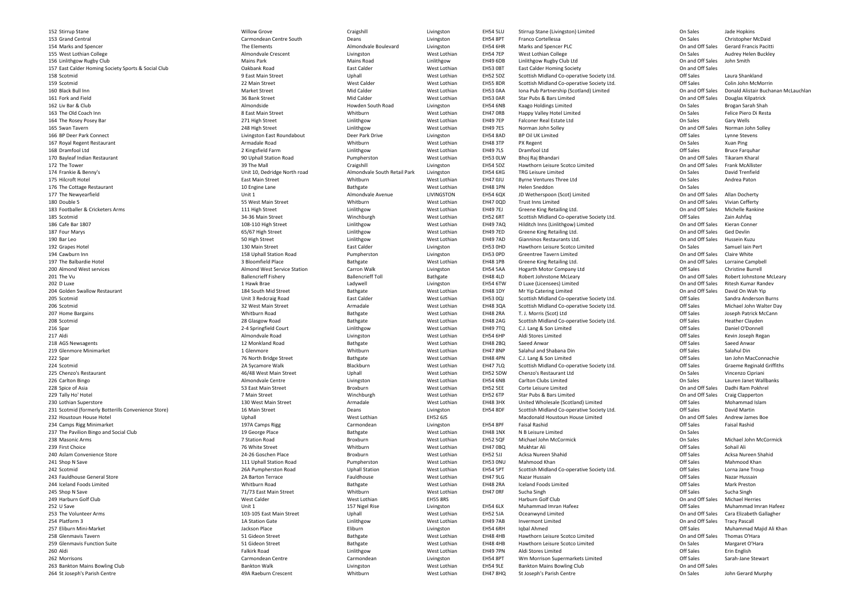152 Stirrup Stane 2 Stirrup Stane **Calculation Contract Contract Contract Contract Contract Contract Contract Craigshill Craigshill** 153 Grand Central 154 Marks and Spencer A Marks and Spencer **The Elements** Almondvale Boulevard **Almondvale Boulevard** The Elements Almondvale Boulevard 155 West Lothian College **Almondvale Crescent** Livingston 156 Linlithgow Rugby Club157 East Calder Homing Society Sports & Social Club158 Scotmid159 Scotmid 9 Scotmid 22 Main Street 22 Main Street 22 Main Street 22 Main Street 22 Main Street 20 Nest Calder 20 West Lothian 160 Black Bull Innn and Development Market Street and Mid Calder and Mid Calder Nest Lothian EH53 0AA 161 Fork and Fieldd and the street of the Sank Street and Street Mid Calder and Mid Calder Street Benedicts (Mest Lothian EH53 0AR 162 Liv Bar & Clubb Books and the CHS4 6NB and the Manufacture of the Mondside South Road Livingston EH54 6NB 163 The Old Coach Innn and a complete the Seast Main Street and Seast Main Street whitburn and Mest Lothian EH47 ORB 164 The Rosey Posey Bar 2011 Marshall Communication of the Communication of the Communication of the Linlithgow 165 Swan Tavernn and the contract of the contract of the contract of the contract of the contract of the contract of the contract of the contract of the contract of the contract of the contract of the contract of the contract of the cont 166 BP Deer Park Connect 167 Royal Regent Restaurant **Armadale Road** 168 Dramfool Ltd170 Bayleaf Indian Restaurant 90 Uphall Station Road172 The Tower 2 The Tower 2008 2012 12:39 The Mall 2008 2014 2022 2023 2014 2023 2024 2022 2023 2024 2022 2023 2024 2022 202 174 Frankie & Benny's 175 Hilcroft Hotel 5 Hilcroft Hotel **Whitburn** East Main Street **East Main Street** Whitburn 176 The Cottage Restaurant West Lothian Number of the Cottage Restaurant West Lothian 177 The Newyearfieldd and the Unit 1 Contract of the Unit 1 Almondvale Avenue LIVINGSTON 180 Double 5 183 Footballer & Cricketers Arms **183 Footballer & Cricketers Arms** 111 High Street Linlithgow 185 Scotmid186 Cafe Bar 1807 187 Four Marys 7 Four Marys **Example 20 Four Marys** 65/67 High Street **Contract Contract Contract Contract Contract Contract Contract Contract Contract Contract Contract Contract Contract Contract Contract Contract Contract Contract Cont** 190 Bar Leoo and the state of the state of the SD High Street  $\sim$  50 High Street  $\sim$  Linlithgow 192 Grapes Hotel 2 Grapes Hotel **130 Main Street** East Calder East Calder Livingston 194 Cawburn Innn and the Uphall Station Road and Pumpherston Livingston EH53 OPD 197 The Balbardie Hotel 7 The Balbardie Hotel **3 Bloomfield Place** 3 Bloomfield Place Bathgate Bathgate West Lothian 200 Almond West services 201 The Vuu and Ballencrieff Fishery and Ballencrieff Toll Ballencrieff Toll and Bathgate EH48 4LD 202 D Luxe 2 D Luxe **1 Hawk Brae** 2 D Luxe Ladywell Livingston Livingston 204 Golden Swallow Restaurant 4 Golden Swallow Restaurant **184 South Mid Street** Bathgate Bathgate West Lothian 205 Scotmid206 Scotmidd and the set of the Same Street are are the Same Street are an armadale Mest Lothian CH48 3QA 207 Home Bargains Whitburn Road208 Scotmidd and the set of the Second 28 Glasgow Road and the Bathgate Bathgate Second Mest Lothian EH48 2AG 216 Spar 217 Aldi 218 AGS Newsagents 12 Monkland Road219 Glenmore Minimarket **1** Glenmore 219 Glenmore 21 Glenmore 222 Spar 2 Spar 2012 1994 Messing Management Controller Street 2 Assemblance Bathgate Messing Messing Messing Messing Messing Messing Messing Messing Messing Messing Messing Messing Messing Messing Messing Messing Messing Messing M 224 Scotmidd and the symbol CA Sycamore Walk Blackburn Blackburn and the Set Lothian EH47 7LQ 225 Chenzo's Restaurant 5 Chenzo's Restaurant **1986 March 2018** 46/48 West Main Street **Uphall Mest Lothian** West Lothian 226 Carlton Bingo0 and the Centre Controllation Controllation Controllation Controllation Controllation Controllation Controllation C<br>Controllation Controllation Controllation Controllation Controllation Controllation Controllation Control 228 Spice of Asia 8 Spice of Asia 53 East Main Street Broxburn Broxburn Broxburn Broxburn Broxburn Broxburn Broxburn Broxburn Broxburn 229 Tally Ho' Hotel 9 Tally Ho' Hotel Winchburgh Number 2 Main Street 2 Main Street 2 Main Street 2 Minchburgh 230 Lothian Superstore 0 Lothian Superstore **130 West Main Street** 2008 Armadale 2012 West Lothian 231 Scotmid (formerly Botterills Convenience Store) **16 Main Street** Deans Deans Livingston 232 Houstoun House Hotel **Network Constructs and Australian** Uphall Uphall Network West Lothian 234 Camps Rigg Minimarket **197A Camps Rigg Carmondean** 237 The Pavilion Bingo and Social Club238 Masonic Arms 7 Station Road239 First Choice **9 First Choice** Whitburn Whitburn Changes of The Street Theory of White Street Whitburn Whitburn Whitburn Changes of White Street Whitburn Changes of Whitburn Changes of Whitburn Changes of Whitburn Changes of The Street 240 Aslam Convenience Store 24-26 Goschen Place 24-26 Goschen Place Broxburn 241 Shop N Save 242 Scotmid243 Fauldhouse General Store 3 Fauldhouse General Store **2A Barton Terrace** 2A Barton Terrace **Fauldhouse** Fauldhouse **Start Account Store Mest Lothian** 244 Iceland Foods Limited245 Shop N Save 249 Harburn Golf Club252 U Save 2 U Save and the Unit 1 Control of the Unit 1 Control of the Unit 1 Control of the Unit 1 Control of the Unit 1 Control of the Unit 1 Control of the Unit 1 Control of the Unit 1 Control of the Unit 1 Control of the Unit 1 253 The Volunteer Arms 254 Platform 3 A Platform 3 2012 Linlithgow 3 2012 12:30 12:30 15:30 15:30 15:30 15:30 16:30 16:30 16:30 16:30 16:30 16:30 16 257 Eliburn Mini-Market **Eliburn** Eliburn University of the State Jackson Place **Alternative Eliburn** 258 Glenmavis Tavernn and the Same Street Same Street Street Bathgate Street Bathgate Street Street Bathgate Street Street Bathgate 259 Glenmavis Function Suite **1986 Metallist Contract Contract Contract Contract Contract Contract Contract Contract Contract Contract Contract Contract Contract Contract Contract Contract Contract Contract Contract Contra** 260 Aldi Aldi Falkirk Road262 Morrisons 2 Morrisons Carmondean Centre Carmondean Centre Carmondean Centre Carmondean Centre Carmondean 263 Bankton Mains Bowling Club

| Stane                                     | <b>Willow Grove</b>          | Craigshill                   | Livingston        | <b>EH54 5LU</b> | Stirrup Stane (Livingston) Limited         | On Sales         | Jade Hopkins                     |
|-------------------------------------------|------------------------------|------------------------------|-------------------|-----------------|--------------------------------------------|------------------|----------------------------------|
| Central                                   | Carmondean Centre South      | Deans                        | Livingston        | <b>EH54 8PT</b> | <b>Franco Cortellessa</b>                  | On Sales         | <b>Christopher McDaid</b>        |
| and Spencer                               | The Elements                 | Almondvale Boulevard         | Livingston        | <b>EH54 6HR</b> | Marks and Spencer PLC                      | On and Off Sales | <b>Gerard Francis Pacitti</b>    |
|                                           |                              |                              |                   |                 |                                            |                  |                                  |
| othian College                            | Almondvale Crescent          | Livingston                   | West Lothian      | <b>EH54 7EP</b> | West Lothian College                       | On Sales         | Audrey Helen Buckley             |
| ow Rugby Club                             | <b>Mains Park</b>            | <b>Mains Road</b>            | Linlithgow        | <b>EH49 6DB</b> | Linlithgow Rugby Club Ltd                  | On and Off Sales | John Smith                       |
| Ilder Homing Society Sports & Social Club | Oakbank Road                 | <b>East Calder</b>           | West Lothian      | <b>EH53 OBT</b> | <b>East Calder Homing Society</b>          | On and Off Sales |                                  |
|                                           | 9 East Main Street           | Uphall                       | West Lothian      | <b>EH52 5DZ</b> | Scottish Midland Co-operative Society Ltd. | Off Sales        | Laura Shankland                  |
|                                           | 22 Main Street               | <b>West Calder</b>           | West Lothian      | <b>EH55 8DR</b> | Scottish Midland Co-operative Society Ltd. | Off Sales        | Colin John McMorrin              |
| ull Inn                                   | <b>Market Street</b>         | Mid Calder                   | West Lothian      | EH53 0AA        | Iona Pub Partnership (Scotland) Limited    | On and Off Sales | Donald Alistair Buchanan N       |
| <b>id Field</b>                           | 36 Bank Street               | Mid Calder                   | West Lothian      | <b>EH53 0AR</b> | Star Pubs & Bars Limited                   | On and Off Sales | Douglas Kilpatrick               |
|                                           |                              |                              |                   |                 |                                            |                  |                                  |
| & Club                                    | Almondside                   | Howden South Road            | Livingston        | <b>EH54 6NB</b> | Kaago Holdings Limited                     | On Sales         | Brogan Sarah Shah                |
| d Coach Inn                               | 8 East Main Street           | Whitburn                     | West Lothian      | EH47 ORB        | Happy Valley Hotel Limited                 | On Sales         | Felice Piero Di Resta            |
| sey Posey Bar                             | 271 High Street              | Linlithgow                   | West Lothian      | <b>EH49 7EP</b> | Falconer Real Estate Ltd                   | On Sales         | Gary Wells                       |
| avern                                     | 248 High Street              | Linlithgow                   | West Lothian      | <b>EH49 7ES</b> | Norman John Solley                         | On and Off Sales | Norman John Solley               |
| r Park Connect                            | Livingston East Roundabout   | Deer Park Drive              | Livingston        | <b>EH54 8AD</b> | <b>BP Oil UK Limited</b>                   | Off Sales        | Lynne Stevens                    |
| Regent Restaurant                         | Armadale Road                | Whitburn                     | West Lothian      | <b>EH48 3TP</b> | PX Regent                                  | On Sales         | Xuan Ping                        |
|                                           |                              |                              |                   |                 |                                            |                  |                                  |
| ool Ltd                                   | 2 Kingsfield Farm            | Linlithgow                   | West Lothian      | <b>EH49 7LS</b> | Dramfool Ltd                               | Off Sales        | <b>Bruce Farquhar</b>            |
| f Indian Restaurant                       | 90 Uphall Station Road       | Pumpherston                  | West Lothian      | EH53 OLW        | Bhoj Raj Bhandari                          | On and Off Sales | Tikaram Kharal                   |
| wer                                       | 39 The Mall                  | Craigshill                   | Livingston        | <b>EH54 5DZ</b> | Hawthorn Leisure Scotco Limited            | On and Off Sales | <b>Frank McAllister</b>          |
| & Benny's                                 | Unit 10, Dedridge North road | Almondvale South Retail Park | Livingston        | <b>EH54 6XG</b> | <b>TRG Leisure Limited</b>                 | On Sales         | David Trenfield                  |
| t Hotel                                   | <b>East Main Street</b>      | Whitburn                     | West Lothian      | <b>EH47 OJU</b> | <b>Byrne Ventures Three Ltd</b>            | On Sales         | Andrea Paton                     |
| ttage Restaurant                          | 10 Engine Lane               | Bathgate                     | West Lothian      | <b>EH48 1PN</b> | Helen Sneddon                              | On Sales         |                                  |
|                                           |                              | Almondvale Avenue            |                   |                 |                                            |                  |                                  |
| wyearfield                                | Unit 1                       |                              | <b>LIVINGSTON</b> | <b>EH54 6QX</b> | JD Wetherspoon (Scot) Limited              | On and Off Sales | Allan Docherty                   |
| : 5                                       | 55 West Main Street          | Whitburn                     | West Lothian      | <b>EH47 0QD</b> | <b>Trust Inns Limited</b>                  | On and Off Sales | Vivian Cefferty                  |
| ller & Cricketers Arms                    | 111 High Street              | Linlithgow                   | West Lothian      | <b>EH49 7EJ</b> | Greene King Retailing Ltd.                 | On and Off Sales | Michelle Rankine                 |
| d                                         | 34-36 Main Street            | Winchburgh                   | West Lothian      | <b>EH52 6RT</b> | Scottish Midland Co-operative Society Ltd. | Off Sales        | Zain Ashfaq                      |
| ar 1807                                   | 108-110 High Street          | Linlithgow                   | West Lothian      | <b>EH49 7AQ</b> | Hilditch Inns (Linlithgow) Limited         | On and Off Sales | Kieran Conner                    |
| larys                                     | 65/67 High Street            | Linlithgow                   | West Lothian      | <b>EH49 7ED</b> | Greene King Retailing Ltd.                 | On and Off Sales | Ged Devlin                       |
|                                           |                              |                              |                   |                 |                                            |                  |                                  |
|                                           | 50 High Street               | Linlithgow                   | West Lothian      | <b>EH49 7AD</b> | Gianninos Restaurants Ltd.                 | On and Off Sales | Hussein Kuzu                     |
| : Hotel                                   | 130 Main Street              | East Calder                  | Livingston        | EH53 OHD        | Hawthorn Leisure Scotco Limited            | On Sales         | Samuel Iain Pert                 |
| rn Inn                                    | 158 Uphall Station Road      | Pumpherston                  | Livingston        | EH53 OPD        | <b>Greentree Tavern Limited</b>            | On and Off Sales | <b>Claire White</b>              |
| Ibardie Hotel                             | 3 Bloomfield Place           | Bathgate                     | West Lothian      | <b>EH48 1PB</b> | Greene King Retailing Ltd.                 | On and Off Sales | <b>Lorraine Campbell</b>         |
| d West services                           | Almond West Service Station  | Carron Walk                  | Livingston        | <b>EH54 5AA</b> | Hogarth Motor Company Ltd                  | Off Sales        | <b>Christine Burrell</b>         |
|                                           | <b>Ballencrieff Fishery</b>  | <b>Ballencrieff Toll</b>     | Bathgate          | <b>EH48 4LD</b> | <b>Robert Johnstone McLeary</b>            | On and Off Sales | Robert Johnstone McLeary         |
|                                           | 1 Hawk Brae                  | Ladywell                     | Livingston        | <b>EH54 6TW</b> | D Luxe (Licensees) Limited                 | On and Off Sales | Ritesh Kumar Randev              |
|                                           |                              |                              |                   |                 |                                            |                  |                                  |
| <b>Swallow Restaurant</b>                 | 184 South Mid Street         | Bathgate                     | West Lothian      | <b>EH48 1DY</b> | Mr Yip Catering Limited                    | On and Off Sales | David On Wah Yip                 |
|                                           | Unit 3 Redcraig Road         | East Calder                  | West Lothian      | <b>EH53 0QJ</b> | Scottish Midland Co-operative Society Ltd. | Off Sales        | Sandra Anderson Burns            |
|                                           | 32 West Main Street          | Armadale                     | West Lothian      | <b>EH48 3QA</b> | Scottish Midland Co-operative Society Ltd. | Off Sales        | Michael John Walter Day          |
| Bargains                                  | Whitburn Road                | Bathgate                     | West Lothian      | <b>EH48 2RA</b> | T. J. Morris (Scot) Ltd                    | Off Sales        | Joseph Patrick McCann            |
|                                           | 28 Glasgow Road              | Bathgate                     | West Lothian      | <b>EH48 2AG</b> | Scottish Midland Co-operative Society Ltd. | Off Sales        | <b>Heather Clayden</b>           |
|                                           | 2-4 Springfield Court        | Linlithgow                   | West Lothian      | <b>EH49 7TQ</b> | C.J. Lang & Son Limited                    | Off Sales        | Daniel O'Donnell                 |
|                                           |                              |                              |                   |                 |                                            |                  |                                  |
|                                           | Almondvale Road              | Livingston                   | West Lothian      | <b>EH54 6HP</b> | Aldi Stores Limited                        | Off Sales        | Kevin Joseph Regan               |
| ewsagents                                 | 12 Monkland Road             | Bathgate                     | West Lothian      | <b>EH48 2BQ</b> | Saeed Anwar                                | Off Sales        | Saeed Anwar                      |
| ore Minimarket                            | 1 Glenmore                   | Whitburn                     | West Lothian      | <b>EH47 8NP</b> | Salahul and Shabana Din                    | Off Sales        | Salahul Din                      |
|                                           | 76 North Bridge Street       | Bathgate                     | West Lothian      | <b>EH48 4PN</b> | C.J. Lang & Son Limited                    | Off Sales        | Ian John MacConnachie            |
|                                           | 2A Sycamore Walk             | Blackburn                    | West Lothian      | <b>EH47 7LQ</b> | Scottish Midland Co-operative Society Ltd. | Off Sales        | <b>Graeme Reginald Griffiths</b> |
| o's Restaurant                            | 46/48 West Main Street       | Uphall                       | West Lothian      | <b>EH52 5DW</b> | Chenzo's Restaurant Ltd                    | On Sales         | Vincenzo Cipriani                |
| Bingo                                     | Almondvale Centre            | Livingston                   | West Lothian      | <b>EH54 6NB</b> | <b>Carlton Clubs Limited</b>               | On Sales         | Lauren Janet Wallbanks           |
|                                           |                              |                              |                   |                 |                                            |                  |                                  |
| f Asia                                    | 53 East Main Street          | Broxburn                     | West Lothian      | <b>EH52 5EE</b> | Corte Leisure Limited                      | On and Off Sales | Dadhi Ram Pokhrel                |
| o' Hotel                                  | 7 Main Street                | Winchburgh                   | West Lothian      | <b>EH52 6TP</b> | Star Pubs & Bars Limited                   | On and Off Sales | <b>Craig Clapperton</b>          |
| Superstore                                | 130 West Main Street         | Armadale                     | West Lothian      | <b>EH48 3HX</b> | United Wholesale (Scotland) Limited        | Off Sales        | Mohammad Islam                   |
| d (formerly Botterills Convenience Store) | 16 Main Street               | Deans                        | Livingston        | <b>EH54 8DF</b> | Scottish Midland Co-operative Society Ltd. | Off Sales        | David Martin                     |
| un House Hotel                            | Uphall                       | West Lothian                 | EH52 6JS          |                 | Macdonald Houstoun House Limited           | On and Off Sales | Andrew James Boe                 |
| <b>Rigg Minimarket</b>                    | 197A Camps Rigg              | Carmondean                   | Livingston        | <b>EH54 8PF</b> | <b>Faisal Rashid</b>                       | Off Sales        | <b>Faisal Rashid</b>             |
|                                           |                              |                              | West Lothian      | <b>EH48 1NX</b> | N B Leisure Limited                        | On Sales         |                                  |
| vilion Bingo and Social Club              | 19 George Place              | Bathgate                     |                   |                 |                                            |                  |                                  |
| ic Arms                                   | 7 Station Road               | Broxburn                     | West Lothian      | <b>EH52 5QF</b> | Michael John McCormick                     | On Sales         | Michael John McCormick           |
| าoice                                     | 76 White Street              | Whitburn                     | West Lothian      | <b>EH47 0BQ</b> | Mukhtar Ali                                | Off Sales        | Sohail Ali                       |
| Convenience Store                         | 24-26 Goschen Place          | Broxburn                     | West Lothian      | <b>EH52 5JJ</b> | Acksa Nureen Shahid                        | Off Sales        | Acksa Nureen Shahid              |
| l Save                                    | 111 Uphall Station Road      | Pumpherston                  | West Lothian      | EH53 ONU        | Mahmood Khan                               | Off Sales        | Mahmood Khan                     |
| P.                                        | 26A Pumpherston Road         | <b>Uphall Station</b>        | West Lothian      | EH54 5PT        | Scottish Midland Co-operative Society Ltd. | Off Sales        | Lorna Jane Troup                 |
| ouse General Store                        | 2A Barton Terrace            | Fauldhouse                   | West Lothian      | <b>EH47 9LG</b> | Nazar Hussain                              | Off Sales        | Nazar Hussain                    |
|                                           |                              |                              |                   |                 |                                            |                  |                                  |
| l Foods Limited                           | Whitburn Road                | Bathgate                     | West Lothian      | <b>EH48 2RA</b> | <b>Iceland Foods Limited</b>               | Off Sales        | <b>Mark Preston</b>              |
| Save                                      | 71/73 East Main Street       | Whitburn                     | West Lothian      | EH47 ORF        | Sucha Singh                                | Off Sales        | Sucha Singh                      |
| n Golf Club                               | West Calder                  | West Lothian                 | <b>EH55 8RS</b>   |                 | Harburn Golf Club                          | On and Off Sales | <b>Michael Herries</b>           |
|                                           | Unit 1                       | 157 Nigel Rise               | Livingston        | <b>EH54 6LX</b> | Muhammad Imran Hafeez                      | Off Sales        | Muhammad Imran Hafeez            |
| lunteer Arms                              | 103-105 East Main Street     | Uphall                       | West Lothian      | <b>EH52 5JA</b> | Oceanwynd Limited                          | On and Off Sales | Cara Elizabeth Gallagher         |
| m 3 l                                     | 1A Station Gate              | Linlithgow                   | West Lothian      | <b>EH49 7AB</b> | <b>Invermont Limited</b>                   | On and Off Sales | <b>Tracy Pascall</b>             |
|                                           |                              |                              |                   |                 |                                            |                  |                                  |
| Mini-Market                               | Jackson Place                | Eliburn                      | Livingston        | EH54 6RH        | Iqbal Ahmed                                | Off Sales        | Muhammad Majid Ali Khar          |
| avis Tavern                               | 51 Gideon Street             | Bathgate                     | West Lothian      | <b>EH48 4HB</b> | Hawthorn Leisure Scotco Limited            | On and Off Sales | Thomas O'Hara                    |
| avis Function Suite                       | 51 Gideon Street             | Bathgate                     | West Lothian      | <b>EH48 4HB</b> | Hawthorn Leisure Scotco Limited            | On Sales         | Margaret O'Hara                  |
|                                           | <b>Falkirk Road</b>          | Linlithgow                   | West Lothian      | <b>EH49 7PN</b> | Aldi Stores Limited                        | Off Sales        | Erin English                     |
| ons                                       | Carmondean Centre            | Carmondean                   | Livingston        | <b>EH54 8PT</b> | Wm Morrison Supermarkets Limited           | Off Sales        | Sarah-Jane Stewart               |
| n Mains Bowling Club                      | <b>Bankton Walk</b>          | Livingston                   | West Lothian      | <b>EH54 9LE</b> | <b>Bankton Mains Bowling Club</b>          | On and Off Sales |                                  |
| ph's Parish Centre                        | 49A Raeburn Crescent         | Whitburn                     | West Lothian      | <b>EH47 8HQ</b> | St Joseph's Parish Centre                  | On Sales         | John Gerard Murphy               |
|                                           |                              |                              |                   |                 |                                            |                  |                                  |

On and Off Sales Donald Alistair Buchanan McLauchlan<br>On and Off Sales Douglas Kilpatrick On and Off Sales Robert Johnstone McLeary Off Sales Michael John Walter Day<br>Off Sales Joseph Patrick McCann Off Sales Joseph Patrick McCann<br>Off Sales Heather Clayden Off Sales Ian John MacConnachie<br>Off Sales Graeme Reginald Griffit Off Sales Graeme Reginald Griffiths<br>
On Sales Vincenzo Cipriani On Sales Lauren Janet Wallbanks On and Off Sales Cara Elizabeth Gallagher<br>On and Off Sales Tracy Pascall Off Sales Muhammad Majid Ali Khan

Carmondean Centre South<br>The Elements b the contract of the Mains Park Mains Road and Linlithgow Mains Road and Linlithgow Livingston East Roundabout **Deer Park Drive Livingston** Livingston 2 Kingsfield Farm<br>90 Uphall Station Road Unit 10, Dedridge North road<br>East Main Street 55 West Main Street **Whitburn**<br>111 High Street Whitburn Linlithgow 108-110 High Street Linlithgow<br>65/67 High Street Linlithgow<br>Linlithgow Almond West Service Station<br>Ballencrieff Fisherv 2-4 Springfield Court Linlithgow<br>Almondvale Road Livingston Almondvale Road<br>12 Monkland Road 111 Uphall Station Road<br>26A Pumpherston Road d and the Unit of the Whitburn Road and Bathgate and Bathgate and West Lothian EH48 2RA 71/73 East Main Street Whitburn The Volunteer Arms 103-105 East Main Street Uphall West LothianFalkirk Road<br>Carmondean Centre **Carmondean** 264 St Joseph's Parish Centre 49A Raeburn Crescent Whitburn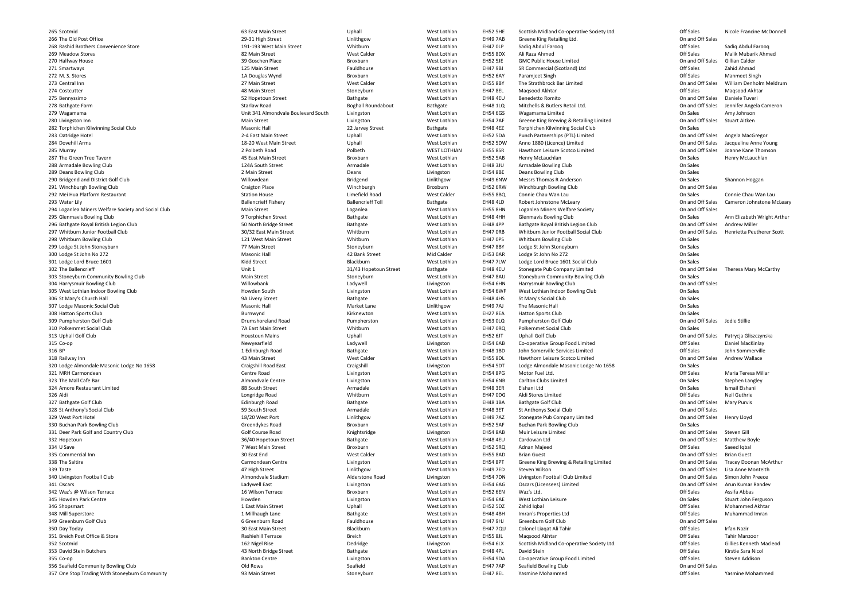265 Scotmid266 The Old Post Office **266 Company 2006** 29-31 High Street 29-31 High Street 29-31 High Street 2011 268 Rashid Brothers Convenience Store 191-193 West Main Street 268 Whitburn 269 Meadow Stores 9 Meadow Stores **82 Main Street** 2008 Main Street 2008 West Calder 2008 West Lothian 270 Halfway House 0 Halfway House **39 Broxburn** Broxburn 39 Goschen Place **39 Goschen Place** Broxburn 271 Smartways 1 Smartways **125 Main Street** 125 Main Street **Fauldhouse** West Lothian 272 M.S. Stores 273 Central Inn274 Costcutter A Costcutter **Accord 2018** Main Street **Accord 2018** Main Street Stoneyburn 275 Bennyssimoo and the street of the Bathgate Bathgate Set and the SH48 4EU of the SH48 4EU of the SH48 4EU of the SH48 4EU 278 Bathgate Farm279 Wagamama 280 Livingston Inn282 Torphichen Kilwinning Social Club283 Oatridge Hotel 3 Oatridge Hotel **2-4 East Main Street** 2-4 East Main Street Communication Controller and Mest Lothian 284 Dovehill Arms A Dovehill Arms **18-20 West Main Street** Uphall Uphall West Lothian 285 Murray 287 The Green Tree Tavern288 Armadale Bowling Club289 Deans Bowling Club290 Bridgend and District Golf Club291 Winchburgh Bowling Club292 Mei Hua Platform Restaurant Nation November 2012 Station House Nation House Limefield Road 293 Water Lily 3 Water Lily **Ballencrieff Fishery** Ballencrieff Fishery Ballencrieff Toll **Bathgate** Bathgate EH48 4LD 294 Loganlea Miners Welfare Society and Social Club295 Glenmavis Bowling Club296 Bathgate Royal British Legion Club297 Whitburn Junior Football Club298 Whitburn Bowling Club299 Lodge St John Stoneyburn300 Lodge St John No 272 0 Lodge St John No 272 **Masonic Hall** Masonic Hall 42 Bank Street Mid Calder EH53 0AR 301 Lodge Lord Bruce 1601 **Blackburn** Blackburn Number 2012 **Kidd Street** Blackburn Blackburn Blackburn Blackburn 302 The Ballencrieff 2 The Ballencrieff **EH48 4EU** Unit 1 Unit 1 31/43 Hopetoun Street Bathgate Bathgate EH48 4EU 303 Stoneyburn Community Bowling Club304 Harrysmuir Bowling Club305 West Lothian Indoor Bowling Club306 St Mary's Church Hall 6 St Mary's Church Hall **State Mary's Church Hall** West Lothian 307 Lodge Masonic Social Club308 Hatton Sports Clubb **EGUST CONSTRESS Burnwynd** Burnwynd and a Kirknewton Mest Lothian EH27 8EA 309 Pumpherston Golf Club310 Polkemmet Social Club 7A East Main Street Whitburn313 Uphall Golf Club315 Co-opp and the subset of the Newyearfield and the Ladywell and the Livingston and Livingston and EH54 6AB 316 BP318 Railway Inn320 Lodge Almondale Masonic Lodge No 1658 **Craigshill Road East** Craigshill Road East Craigshill Craigshill Livingston 321 MRH Carmondeann and Centre Road Centre Road Livingston Livingston Nest Lothian EH54 8PG 323 The Mall Cafe Bar 3 The Mall Cafe Bar **Almondvale Centre** Livingston Livingston 324 Amore Restaurant Limited326327 Bathgate Golf Clubb **Edinburgh Road** Edinburgh Adam Bathgate Mest Lothian EH48 1BA 328 St Anthony's Social Club329 West Port Hotel West Port Hotel 18/20 West Port Linlithgow330 Buchan Park Bowling Club331 Deer Park Golf and Country Club332 Hopetounn and the Street Street and Bathgate Bathgate Mest Lothian EH48 4EU 334 U Save A U Save **8** Broxburn Street **Provides a Contract Automobile Street** Broxburn Street Broxburn Street Broxburn Street Broxburn Street Broxburn Street Broxburn Street Broxburn Street Broxburn Street Broxburn Street Broxburn 335 Commercial Innn and the Solution of the Solution of the Solution of the Solution of the Solution of the Solution of the Solu<br>The Solution of the Solution of the Solution of the EH55 8AD of the Solution of the Solution of the Solution o 338 The Saltire 339 Taste 9 Taste **Linlithgow 19 Taste** Linlithgow **19 Taste** Linlithgow 340 Livingston Football Club341 Oscars **1 Oscars** Livingston Livingston Ladywell East Livingston Livingston Livingston Livingston Livingston Livingston 342 Waz's @ Wilson Terrace **16 Wilson Terrace** Broxburn 345 Howden Park Centre **Howden** Howden 346 Shopsmart Shopsmart 1 East Main Street Uphall West Lothian348 Mill Superstore 8 Mill Superstore **1 Millhaugh Lane** 1 Millhaugh Lane **Bathgate** Bathgate West Lothian 349 Greenburn Golf Club350 Day Today 0 Day Today 30 East Main Street Blackburn Blackburn 30 East Main Street Blackburn 351 Breich Post Office & Store Breich Post Office & Store Rashiehill Terrace Breich 352 Scotmid353 David Stein Butchers 3 David Stein Butchers **Acknowledge Street** All Andreas And All Andreas Andreas Association and All Andreas Andreas A<br>All Andreas Andreas Andreas Andreas Andreas Andreas Andreas Andreas Andreas Andreas Andreas Andreas Andr 355 Co-opp annexe bankton Centre EH54 9DA annual EH54 9DA annual EH54 9DA annual EH54 9DA ann ann ann an EH54 9DA ann ann an EH54 9DA 356 Seafield Community Bowling Club357 One Stop Trading With Stoneyburn Community **1988** Main Street Stoneyburn Stoneyburn

1A Douglas Wynd Unit 341 Almondvale Boulevard South 2 Polbeth Road<br>45 East Main Street n and Broxburn Broxburn West Lothian EH52 5AB b 124A South Street Armadale Armadale West Lothian EH48 3JU Willowdean Bridgend Linlithgowb **EH52 6RW** Craigton Place **Noting that Craighton Place Craighton Place Craighton Broxburn** EH52 6RW b **EH55 8HN** Main Street **Loganlea** Loganlea **Nest Lothian** EH55 8HN b behall the Street School of the Street Street Bathgate Street Bathgate Street Bathgate Street Bathgate Street Street Street Bathgate Street Bathgate Street Street Street Bathgate Street Street Street Street Street Street b 30/32 East Main Street Whitburn Whitburn West Lothian EH47 ORB b **Stoneyburn** West Lothian EH47 8AU b Channel Channel Channel Channel Channel Ladywell Channel Channel Channel Channel Channel Channel Channel Channel Channel Channel Channel Channel Channel Channel Channel Channel Channel Channel Channel Channel Channel Cha b and the Masonic Hall Masonic Hall and Market Lane and Linlithgow b **Drumshoreland Road** Pumpherston Pumpherston West Lothian EH53 0LQ 1 Edinburgh Roadd and the Sea of the Sea of the Sea of the Sea of the Sea of the Sea of the Sea of the Sea of the Sea of the Sea of the Sea of the Sea of the Sea of the Sea of the Sea of the Sea of the Sea of the Sea of the Sea of the Sea Longridge Road<br>Edinburgh Road Golf Course Road Knightsridge Livingston EH54 8ABCarmondean Centre Livingston<br>
47 High Street Linlithgow Almondvale Stadium

Polbeth WEST LOTHIAN<br>Broxburn West Lothian Limefield Road Mest Calder EH55 8BQ<br>Ballencrieff Toll Bathgate EH48 4LD West Lothian EH47 7LW West Lothian EH47 0RQd Bathgate Bathgate West Lothian EH48 1BD Livingston Mest Lothian EH54 6NB<br>Armadale Mest Lothian EH48 3ER Whitburn West Lothian EH47 0DG West Lothian EH52 5RQLivingston Mest Lothian EH54 6AG Broxburn Mest Lothian EH52 6EN<br>Livingston Mest Lothian EH54 6AE West Lothian EH47 7QU

West Lothian EH52 5DA West Lothian EH52 5DW<br>WEST LOTHIAN EH55 8SR Linlithgow EH49 6NW<br>Broxburn EH52 6RW West Lothian EH48 4BH<br>West Lothian EH47 9HJ

63 East Main Street Uphall Uphall West Lothian EH52 5HE Scottish Midland Co-operative Society Ltd. Off Sales Nicole Francine McDonnell Linlithgow 
West Lothian
EH49 7AB

Greene King Retailing Ltd.

Unithgow

On and Off Sales

Unithgow

Unithgow

Comunication

Unithgow

Comunication

Unithgow

Unithgow

Unithgow

Unithgow

Unithgow

Unithgow

Unithgow n aan oo West Lothian aan EH47 OLP Sadiq Abdul Farooq aan aan oo Sadiq Abdul Farooq aan oo Sadiq Abdul Farooq n 1986 EH55 8DX Ali Raza Ahmed National Service States Annual Service States Malik Mubarik Ahmed National Service States Annual Service States Annual Service States Ahmed States Annual Service States Annual Service States n and Off Sales Gillian Calder EH52 5JE GMC Public House Limited Contract Connect Connect Calder Calder Calder EH47 9BJ SR Commercial (Scotland) Ltd Off Sales Zahid Ahmad d Broxburn West Lothian EH52 6AY Paramjeet Singh CHE Stromber Off Sales Manmeet Singh 27 Main Street West Calder West Calder West Lothian EH55 8BY The Strathbrock Bar Limited On and Off Sales William Denholm Meldrum n 1986 - Mest Lothian 1986 - EH47 8EL Maqsood Akhtar Nagsan ah Samaa ah Sales Naqsood Akhtar Akhtar Asia ah Maqsood Akhtar Akhtar Akhtar Asia ah Maqsood Akhtar Akhtar Akhtar Asia ah Maqsood Akhtar Akhtar Akhtar Akhtar Akht U Benedetto Romito **Department Constructs** Connected Connected Connected Connected Connected Connected Connected Connected Connected Connected Connected Connected Connected Connected Connected Connected Connected Connected Starlaw Road Boghall Roundabout Bathgate EH48 1LQ Mitchells & Butlers Retail Ltd. On and Off Sales Jennifer Angela Cameron<br>And a starlowing the contract of the contract of the contract of the contract of the contract of th h Livingston **Mest Lothian EH54 6GS Wagamama Limited** Chronic Communisty Christies Amy Johnson Christian Amy Johnson Main Street **Livingston West Lothian** EH54 7AF Greene King Brewing & Retailing Limited On and Off Sales Stuart Aitken<br>Masonic Hall **Masonic Hall** 22 Jarvey Street Bathgate EH48 4EZ Torphichen Kilwinning Social Club b 32 Jarvey Street Bathgate EH48 4EZ Torphichen Kilwinning Social Club On Sales Punch Partnerships (PTL) Limited **Department Conneil Conneil Conneil Conneil Conneil Conneil Conneil Conneil Conneil Conneil Conneil Conneil Conneil Conneil Anno 1880 (Licence) Limited Conneil Conneil Conneil Conneil Conne** Anno 1880 (Licence) Limited<br>Hawthorn Leisure Scotco Limited EH55 8SR Hawthorn Leisure Scotco Limited<br>EH52 5AB Henry McLauchlan CHS and Off Sales Henry McLauchlan EH52 5AB Henry McLauchlan<br>EH48 3JU Armadale Bowling Club Channel Channel Constants Consales EH48 3JU Armadale Bowling Club<br>EH54 8BE Deans Bowling Club Club Club Consider the Consider Solid Consider b **2** Main Street **Deans** Deans Livingston EH54 8BE Deans Bowling Club On Sales Messrs Thomas R Anderson and December 2012 10:00 On Sales Shannon Hoggan<br>
Minchburgh Bowling Club Communication Communication Communication Communication Communication Communication C EH52 6RW Minchburgh Bowling Club Control Control Control Control Control Control Control Control Control Control Control Control Control Control Control Control Control Control Control Control Control Control Control Contr Connie Chau Wan Lau **Connie Chau Wan Lau Connie Chau Wan Lau** On Sales Connie Chau Wan Lau Robert Johnstone McLeary EH48 4LD Robert Johnstone McLeary<br>
EH55 8HN Loganlea Miners Welfare Society **CH56 8HN** On and Off Sales Cameron Johnstone McLeary EH55 8HN Loganlea Miners Welfare Society<br>
EH48 4HH Glenmavis Bowling Club<br>
On Sales EH48 4HH Glenmavis Bowling Club Club Club Club Chromatic Consales Ann Elizabeth Wright Arthur<br>Chromatic Andrew Miller Chromatic Bathgate Royal British Legion Club Club Consales Andrew Miller Chromatic Chr b 50 North Bridge Street Bathgate Bathgate West Lothian EH48 4PP Bathgate Royal British Legion Club On and Off Sales Andrew Miller EH47 ORB Whitburn Junior Football Social Club Christian Muslem Connand Off Sales Henrietta Peutherer Scott<br>
EH47 OPS Whitburn Bowling Club Christian Muslem Connand Christian Muslem Connand Christian Muslem Christian M b 121 West Main Street Whitburn West Lothian EH47 0PS Whitburn Dubing Club On Sales n and Stoneyburn Stoneyburn West Lothian EH47 8BY Lodge St John Stoneyburn On Sales EH53 OAR Lodge St John No 272<br>EH47 7LW Lodge Lord Bruce 1601 Social Club<br>Con Sales Lodge Lord Bruce 1601 Social Club<br>Stonegate Pub Company Limited EH48 4EU Stonegate Pub Company Limited Contact Club Consumer Consumer Consumer Consumer Carthy<br>Changel Stoneyburn Community Bowling Club Consumer Consumer Consumer Consumer Consumer Consumer Consumer Consu EH47 8AU Stoneyburn Community Bowling Club<br>EH54 6HN Harrysmuir Bowling Club Club CH54 6HN On and Off Sales EH54 6HN Harrysmuir Bowling Club<br>EH54 6WF West Lothian Indoor Bowling Club Contract Constants On Sales b Mowden South Livingston Constant Constant Mest Lothian EH54 6WF West Lothian Indoor Bowling Club Consales West Lothian EH48 4HS St Mary's Social Club<br>
Linlithgow EH49 7AJ The Masonic Hall<br>
On Sales EH49 7AJ The Masonic Hall On Sales EH27 8EA Hatton Sports Club and Club Consults and Consults Club Consults Consults Consults Consults Consults C<br>
EH53 OLQ Pumpherston Golf Club EH53 OLQ Pumpherston Golf Club Consumers of Club Chand Off Sales Jodie Stillie Chand Off Sales Jodie Stillie Polkemmet Social Club<br>
Uphall Golf Club Club Club Contains and Off Sales Patrycja Gliszczynska Houstoun Mains Uphall West Lothian EH52 6JT Uphall Golf Club On and Off Sales Patrycja Gliszczynska EH54 6AB Co-operative Group Food Limited<br>
EH48 1BD John Somerville Services Limited 
CH48 1BD John Sommerville Cervices Limited
CH48 1BD John Sommerville EH48 1BD John Somerville Services Limited CHS and Off Sales John Sommerville<br>CH55 8DL Hawthorn Leisure Scotco Limited CHS Contains Contained Chand Off Sales Andrew Wallace 13 Main Street West Calder West Calder West Lothian EH55 8DL Hawthorn Leisure Scotco Limited On and Off Sales Andrew Wallace EH54 5DT Lodge Almondale Masonic Lodge No 1658 On Sales G Motor Fuel Ltd. 2008 and 2009 Maria Teresa Millar Maria Teresa Millar Carlton Clubs Limited Carlton Clubs Limited Carlton Clubs Limited Carlton Clubs Limited Consults Consults Consu<br>Consults Consults Consults Consults Consults Consults Consults Consults Consults Consults Consults Consults Co R Elshani Ltd **Elshani Ltd** Conservation Conservation Conservation Conservation Conservation Conservation Conservation Conservation Conservation Conservation Conservation Conservation Conservation Conservation Conservation G Aldi Stores Limited **Off Sales** Neil Guthrie EH48 1BA Bathgate Golf Club Consumers Consumers on and Off Sales Mary Purvis<br>
EH48 3ET St Anthonys Social Club Consumers Consumers Consumers On and Off Sales b 59 South Street Armadale Armadale West Lothian EH48 3ET St Anthonys Social Club On and Off Sales Einlithgow Same Mest Lothian EH49 7AZ Stonegate Pub Company Limited Company Limited Convention Conduct Sales Henry Lloyd<br>Broxburn Sales West Lothian EH52 5AF Buchan Park Bowling Club b Broxburn Broxburn West Lothian EH52 5AF Buchan Park Bowling Club On Sales EH54 8AB Muir Leisure Limited<br>EH48 4EU Cardowan Ltd Cardowan Ltd Care and Delta Steven Gill Changes And Off Sales Matthew Boyle U Cardowan Ltd **Cardowan Ltd** Cardowan Ltd Cardowan Christ Association Connection Connection Connection Connection Connection Connection Connection Connection Connection Connection Connection Connection Connection Connecti Q Adnan Majeed **Off Sales** Saeed Iqbal EH55 8AD Brian Guest Brian Guest Changes and Off Sales Brian Guest Changes Brian Guest Changes Brian Guest Cha<br>Chand Off Sales Tracey Doonan McArthur Changes Brian Guest Changes Are Chand Off Sales Tracey Doonan McArthur West Lothian EH54 8PT Greene King Brewing & Retailing Limited<br>West Lothian EH49 7ED Steven Wilson West Lothian EH49 7ED Steven Wilson On and Off Sales Lisa Anne Monteith m and Alderstone Road Livingston EH54 7DN Livingston Football Club Limited Containers on and Off Sales Simon John Preece<br>Alternative Contract Containers on the Contract Containers on the Contract Contract Contract Contract EH54 6AG Oscars (Licensees) Limited Consumer Connection Connection Connection Connection Connection Connection<br>Connection Connection Connection Connection Connection Connection Connection Connection Connection Connection<br>C N Waz's Ltd. Contract the Contract of Contract Assifa Abbas Assifa Abbas Assifa Abbas Assifa Abbas Assifa Abbas Assifa Abbas Assifa Abbas Assifa Abbas Assifa Abbas Assifa Abbas Assifa Abbas Assifa Abbas Assifa Abbas Assifa n and Divingston Mest Lothian EH54 6AE West Lothian Leisure and Divideo Divideo Stuart John Ferguson EH52 5DZ Zahid Iqbal Off Sales Mohammed Akhtar Imran's Properties Ltd<br>
Greenburn Golf Club<br>
Greenburn Golf Club<br>
On and Off Sales b SGreenburn Road Fauldhouse West Lothian EH47 9HJ Greenburn Golf Club On and Off Sales Colonel Liaqat Ali Tahir Off Sales Irfan Nazir h and the West Lothian EH55 8JL Maqsood Akhtar and the Communication off Sales Tahir Manzoor 162 Nigel Rise 2012 Dedridge Dedridge Livingston EH54 6LX Scottish Midland Co-operative Society Ltd. 2015 Off Sales Gillies Kenneth Macleod n 1986 EH48 4PL David Stein Christian Communication of the Control of Sales Christian Control of Sales Kirstie Sara Nicol EH54 9DA Co-operative Group Food Limited<br>
EH47 7AP Seafield Bowling Club<br>
CH47 7AP Seafield Bowling Club b Seafield West Lothian EH47 7AP Seafield Bowling Club On and Off Sales n and West Lothian and EH47 8EL Yasmine Mohammed and Sales and Sales and Sales and Yasmine Mohammed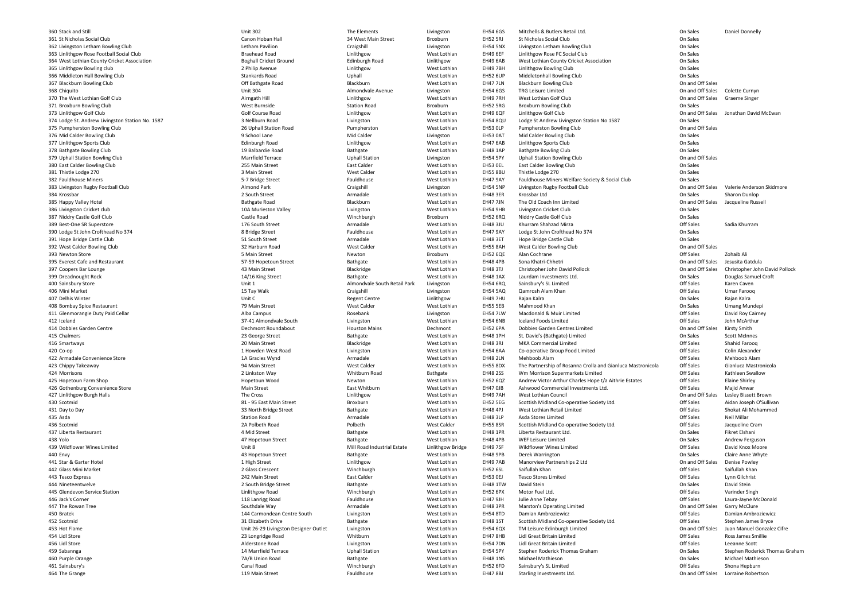360 Stack and Still 0 Stack and Still **Stack and Still** Unit 302 Unit 302 The Elements Livingston 361 St Nicholas Social Club362 Livingston Letham Bowling Club363 Linlithgow Rose Football Social Club364 West Lothian County Cricket Association365 Linlithgow Bowling club366 Middleton Hall Bowling Club367 Blackburn Bowling Club368 Chiquito370 The West Lothian Golf Club371 Broxburn Bowling Club373 Linlithgow Golf Club374 Lodge St. Andrew Livingston Station No. 1587 Nellburn Road St. Andrew Boad 375 Pumpherston Bowling Club376 Mid Calder Bowling Club377 Linlithgow Sports Club378 Bathgate Bowling Club379 Uphall Station Bowling Club380 East Calder Bowling Club381 Thistle Lodge 270 1 Thistle Lodge 270 **3** West Lothian Street Shain Street Nest Calder West Calder West Lothian 382 Fauldhouse Miners 2 Fauldhouse Miners **Music Company Company** 5-7 Bridge Street **San Fauldhouse** Fauldhouse **Music Company America** West Lothian 383 Livingston Rugby Football Club384 Krossbar A Krossbar 2 South Street 2 South Street 2 South Street Armadale 2 South Street 2 South Street 2 South Street Armadale 2 South Street 2 South Street Armadale 2 South Street Armadale 2 South Street 2 South Street Armadale 2 385 Happy Valley Hotel Bathgate Road Bathgate Road Bathgate Road Bathgate Road Bathgate Road Bathgate Road Bathgate Road Bathgate Road Bathgate Road Bathgate Road Bathgate Road Bathgate Road Bathgate Bathgate Road Bathgate 386 Livingston Cricket club387 Niddry Castle Golf Club389 Best-One SR Superstore **176 South Street** 2006 and Street Armadale Armadale West Lothian 390 Lodge St John Crofthead No 374 **88 Fridge Street** 8 Bridge Street Fauldhouse Fauldhouse West Lothian 391 Hope Bridge Castle Club392 West Calder Bowling Club393 Newton Store 3 Newton Store Newton Newton Street 5 Main Street 2008 SMain Street Newton Newton Newton Newton Newton Newton Newton Newton Newton Newton Newton Newton Newton Newton Newton Newton Newton Newton Newton Newton Newton Newton 395 Everest Cafe and Restaurant West Lothian Street Exercise S7-59 Hopetoun Street Bathgate Bathgate West Lothian 397 Coopers Bar Lounge 7 Coopers Bar Lounge **Markov Coopers Bar Lounge West Lothian** And Alleman Assemblack Assemblack Mest Lothian And A 399 Dreadnought Rock 9 Dreadnought Rock West Lothian New York 14/16 King Street Street Bathgate Bathgate West Lothian 400 Sainsbury Store 406 Mini Market 6 Mini Market **15 Tay Walk 2018** Craigshill Craigshill Livingston 407 Delhis Winter Unit Company of the Unit Company of the Unit Company of the Unit Company of the Unit Company of the Unit Company of the Unit Company of the Unit Company of the Unit Company of the Unit Company of the Unit 408 Bombay Spice Restaurant 79 Main Street West Calder West Lothian411 Glenmorangie Duty Paid Cellar **Alba Campus** Alba Campus **Rosebank Livingston** Livingston 412 Icelandd and the state of the S27-41 Almondvale South Contingion and Livingston and Mest Lothian CH54 6NB 414 Dobbies Garden Centre A Dobbies Garden Centre **Dechmont Roundabout** Dechmont Roundabout **A Container EH52 6PA** Dechmont CH52 6PA 415 Chalmers 5 Chalmers **Exercise Street** 23 George Street **Bathgate** Bathgate West Lothian 416 Smartways 6 Smartways **Exercise Struck and Street** 20 Main Street **Blackridge** Blackridge Blackridge West Lothian 420 Co-opp and the set of the University Construction Construction and the University Construction Construction CH54 6AA 422 Armadale Convenience Store 1A Gracies Wynd423 Chippy Takeaway 3 Chippy Takeaway 2012 1994 Main Street 2012 1994 Main Street 2012 1994 West Calder 2012 1994 West Lothian 424 Morrisons Morrisons 2 Linkston Way Whitburn Road425 Hopetoun Farm Shop426 Gothenburg Convenience Store **Main Street** Main Street **East Whitburn** East Whitburn And The Cross Cinlithgow Burgh Halls and the Cross of the Cross of the Cross of the Cross control of the Cross control of the Cross control of the Cross control of the Cross control of the Cross control of the Cross contro 430 Scotmidd
Broxburn
Broxburn
Broxburn
Broxburn
Broxburn
West Lothian
EH52 5EG 431 Day to Day 1 Day to Day **South America Controllering Controllering** 33 North Bridge Street **Bathgate** Bathgate West Lothian 435 Asda **Asda** Station Road Station Road Station Road Station Road Station Road Station Road Station Road Station Road Station Road Station Road Station Road Station Road Station Road Station Road Station Road Station Road Station 436 Scotmidd and the Calder Controller Controller Controller Controller Polbeth Mest Calder Controller EH55 8SR 437 Liberta Restaurant 7 Liberta Restaurant West Lothian 438 Yolo0 and the street of the Bathgate Bathgate Street Settlem and the Street Street Bathgate Street Street Street Street Street Street Street Street Street Street Street Street Street Street Street Street Street Street Street S 439 Wildflower Wines Limited440 Envy 0 Envy **Environment Construct Additional A**3 Hopetoun Street **Bathgate** Bathgate Mest Lothian 441 Star & Garter Hotel 1 Star & Garter Hotel **Linlithgow 1 High Street** 2 Australian 1 High Street 2 Australian 1 High Street 2 Australian 1 High Street 2 Australian 1 High Street 2 Australian 1 High Street 2 Australian 1 High Street 2 Austral 442 Glass Mini Market 2 Glass Mini Market Winchburgh 2 Glass Crescent 2 Glass Crescent 2 Glass Crescent 443 Tesco Express 3 Tesco Express **242 Main Street** East Calder West Lothian 444 Nineteentwelve 4 Nineteentwelve 2 South Bridge Street 2 South Bridge Street Bathgate Bathgate West Lothian 445 Glendevon Service Station446 Jack's Corner 447 The Rowan Tree 7 The Rowan Tree **Southdale Way Southdale Way** Southdale Way Armadale **Southdale Southdale Armadale** Superintensity Mest Lothian EH48 3PR 450 Bratek 452 Scotmid453 Hot Flame 454 Lidl Store 456 Lidl Store 459 Sabannga 9 Sabannga 14 Marrfield Terrace 20 Uphall Station 460 Purple Orange 461 Sainsbury's Canal Road464 The Grange A The Grange 2012 Main Street 2012 The Grange School and School and Messical Annual Street 2014 Messic 2013 Main Street 2014 Messic 2014 Messic 2014 Messic 2014 Messic 2014 Messic 2014 Messic 2014 Messic 2014 Messic 2014 M

| nd Still                               | <b>Unit 302</b>                       | The Elements                 | Livingston         | <b>EH54 6GS</b> | Mitchells & Butlers Retail Ltd.                             | On Sales         | Daniel Donnelly                |
|----------------------------------------|---------------------------------------|------------------------------|--------------------|-----------------|-------------------------------------------------------------|------------------|--------------------------------|
| olas Social Club                       | Canon Hoban Hall                      | 34 West Main Street          | Broxburn           | <b>EH52 5RJ</b> | St Nicholas Social Club                                     | On Sales         |                                |
| ton Letham Bowling Club                | Letham Pavilion                       | Craigshill                   | Livingston         | <b>EH54 5NX</b> | Livingston Letham Bowling Club                              | On Sales         |                                |
| ow Rose Football Social Club           | <b>Braehead Road</b>                  | Linlithgow                   | West Lothian       | <b>EH49 6EF</b> | Linlithgow Rose FC Social Club                              | On Sales         |                                |
| othian County Cricket Association      | <b>Boghall Cricket Ground</b>         | <b>Edinburgh Road</b>        | Linlithgow         | EH49 6AB        | West Lothian County Cricket Association                     | On Sales         |                                |
| ow Bowling club                        | 2 Philip Avenue                       | Linlithgow                   | West Lothian       | <b>EH49 7BH</b> | Linlithgow Bowling Club                                     | On Sales         |                                |
| ton Hall Bowling Club                  | Stankards Road                        | Uphall                       | West Lothian       | <b>EH52 6UP</b> | Middletonhall Bowling Club                                  | On Sales         |                                |
| urn Bowling Club                       | Off Bathgate Road                     | Blackburn                    | West Lothian       | <b>EH47 7LN</b> | <b>Blackburn Bowling Club</b>                               | On and Off Sales |                                |
|                                        | <b>Unit 304</b>                       | Almondvale Avenue            |                    | <b>EH54 6GS</b> | <b>TRG Leisure Limited</b>                                  | On and Off Sales | Colette Curnyn                 |
|                                        |                                       |                              | Livingston         |                 |                                                             |                  |                                |
| est Lothian Golf Club                  | Airngath Hill                         | Linlithgow                   | West Lothian       | <b>EH49 7RH</b> | West Lothian Golf Club                                      | On and Off Sales | <b>Graeme Singer</b>           |
| <b>Irn Bowling Club</b>                | West Burnside                         | <b>Station Road</b>          | Broxburn           | <b>EH52 5RG</b> | <b>Broxburn Bowling Club</b>                                | On Sales         |                                |
| row Golf Club                          | <b>Golf Course Road</b>               | Linlithgow                   | West Lothian       | <b>EH49 6QF</b> | Linlithgow Golf Club                                        | On and Off Sales | Jonathan David McEwan          |
| St. Andrew Livingston Station No. 1587 | 3 Nellburn Road                       | Livingston                   | West Lothian       | <b>EH54 8QU</b> | Lodge St Andrew Livingston Station No 1587                  | On Sales         |                                |
| erston Bowling Club                    | 26 Uphall Station Road                | Pumpherston                  | West Lothian       | EH53 OLP        | <b>Pumpherston Bowling Club</b>                             | On and Off Sales |                                |
| Ider Bowling Club                      | 9 School Lane                         | Mid Calder                   | Livingston         | <b>EH53 0AT</b> | Mid Calder Bowling Club                                     | On Sales         |                                |
| ow Sports Club                         | <b>Edinburgh Road</b>                 | Linlithgow                   | West Lothian       | <b>EH47 6AB</b> | Linlithgow Sports Club                                      | On Sales         |                                |
| te Bowling Club                        | 19 Balbardie Road                     | Bathgate                     | West Lothian       | <b>EH48 1AP</b> | <b>Bathgate Bowling Club</b>                                | On Sales         |                                |
| <b>Station Bowling Club</b>            | <b>Marrfield Terrace</b>              | <b>Uphall Station</b>        | Livingston         | <b>EH54 5PY</b> | <b>Uphall Station Bowling Club</b>                          | On and Off Sales |                                |
| <b>Ider Bowling Club</b>               | 255 Main Street                       | East Calder                  | West Lothian       | EH53 OEL        | <b>East Calder Bowling Club</b>                             | On Sales         |                                |
| Lodge 270                              | 3 Main Street                         | <b>West Calder</b>           | West Lothian       | <b>EH55 8BU</b> | Thistle Lodge 270                                           | On Sales         |                                |
| ouse Miners                            | 5-7 Bridge Street                     | Fauldhouse                   | West Lothian       | <b>EH47 9AY</b> | Fauldhouse Miners Welfare Society & Social Club             | On Sales         |                                |
|                                        | Almond Park                           |                              |                    | <b>EH54 5NP</b> |                                                             | On and Off Sales | Valerie Anderson Skidmore      |
| ton Rugby Football Club                |                                       | Craigshill                   | Livingston         |                 | Livingston Rugby Football Club                              |                  |                                |
|                                        | 2 South Street                        | Armadale                     | West Lothian       | <b>EH48 3ER</b> | Krossbar Ltd                                                | On Sales         | Sharon Dunlop                  |
| Valley Hotel                           | <b>Bathgate Road</b>                  | Blackburn                    | West Lothian       | <b>EH47 7JN</b> | The Old Coach Inn Limited                                   | On and Off Sales | Jacqueline Russell             |
| ton Cricket club                       | 10A Murieston Valley                  | Livingston                   | West Lothian       | <b>EH54 9HB</b> | Livingston Cricket Club                                     | On Sales         |                                |
| Castle Golf Club                       | Castle Road                           | Winchburgh                   | Broxburn           | <b>EH52 6RQ</b> | Niddry Castle Golf Club                                     | On Sales         |                                |
| ne SR Superstore                       | 176 South Street                      | Armadale                     | West Lothian       | <b>EH48 3JU</b> | Khurram Shahzad Mirza                                       | Off Sales        | Sadia Khurram                  |
| St John Crofthead No 374               | 8 Bridge Street                       | Fauldhouse                   | West Lothian       | <b>EH47 9AY</b> | Lodge St John Crofthead No 374                              | On Sales         |                                |
| <b>Iridge Castle Club</b>              | 51 South Street                       | Armadale                     | West Lothian       | <b>EH48 3ET</b> | Hope Bridge Castle Club                                     | On Sales         |                                |
| alder Bowling Club                     | 32 Harburn Road                       | <b>West Calder</b>           | West Lothian       | <b>EH55 8AH</b> | West Calder Bowling Club                                    | On and Off Sales |                                |
| n Store                                | 5 Main Street                         | Newton                       | Broxburn           | <b>EH52 6QE</b> | Alan Cochrane                                               | Off Sales        | Zohaib Ali                     |
| t Cafe and Restaurant                  | 57-59 Hopetoun Street                 | Bathgate                     | West Lothian       | <b>EH48 4PB</b> | Sona Khatri-Chhetri                                         | On and Off Sales | Jesusita Gatdula               |
| 's Bar Lounge                          | 43 Main Street                        | Blackridge                   | West Lothian       | <b>EH48 3TJ</b> | Christopher John David Pollock                              | On and Off Sales | Christopher John David Pollock |
|                                        |                                       |                              |                    |                 |                                                             |                  |                                |
| ought Rock                             | 14/16 King Street                     | Bathgate                     | West Lothian       | <b>EH48 1AX</b> | Laurdam Investments Ltd.                                    | On Sales         | Douglas Samuel Croft           |
| ury Store                              | Unit 1                                | Almondvale South Retail Park | Livingston         | <b>EH54 6RQ</b> | Sainsbury's SL Limited                                      | Off Sales        | Karen Caven                    |
| larket                                 | 15 Tay Walk                           | Craigshill                   | Livingston         | <b>EH54 5AQ</b> | Qamrosh Alam Khan                                           | Off Sales        | <b>Umar Farooq</b>             |
| Winter                                 | Unit C                                | <b>Regent Centre</b>         | Linlithgow         | <b>EH49 7HU</b> | Rajan Kalra                                                 | On Sales         | Rajan Kalra                    |
| y Spice Restaurant                     | 79 Main Street                        | <b>West Calder</b>           | West Lothian       | <b>EH55 5EB</b> | Mahmood Khan                                                | On Sales         | Umang Mundepi                  |
| orangie Duty Paid Cellar               | Alba Campus                           | Rosebank                     | Livingston         | <b>EH54 7LW</b> | Macdonald & Muir Limited                                    | Off Sales        | David Roy Cairney              |
|                                        | 37-41 Almondvale South                | Livingston                   | West Lothian       | <b>EH54 6NB</b> | <b>Iceland Foods Limited</b>                                | Off Sales        | John McArthur                  |
| s Garden Centre                        | <b>Dechmont Roundabout</b>            | <b>Houston Mains</b>         | Dechmont           | <b>EH52 6PA</b> | Dobbies Garden Centres Limited                              | On and Off Sales | <b>Kirsty Smith</b>            |
| ers                                    | 23 George Street                      | Bathgate                     | West Lothian       | <b>EH48 1PH</b> | St. David's (Bathgate) Limited                              | On Sales         | <b>Scott McInnes</b>           |
| vays                                   | 20 Main Street                        | Blackridge                   | West Lothian       | <b>EH48 3RJ</b> | <b>MKA Commercial Limited</b>                               | Off Sales        | Shahid Farooq                  |
|                                        | 1 Howden West Road                    | Livingston                   | West Lothian       | <b>EH54 6AA</b> | Co-operative Group Food Limited                             | Off Sales        | Colin Alexander                |
| ale Convenience Store                  | 1A Gracies Wynd                       | Armadale                     | West Lothian       | <b>EH48 2LN</b> | Mehboob Alam                                                | Off Sales        | Mehboob Alam                   |
| Takeaway                               | 94 Main Street                        | <b>West Calder</b>           | West Lothian       | <b>EH55 8DX</b> | The Partnership of Rosanna Crolla and Gianluca Mastronicola | Off Sales        | Gianluca Mastronicola          |
| ons                                    | 2 Linkston Way                        | Whitburn Road                | Bathgate           | <b>EH48 2SS</b> | Wm Morrison Supermarkets Limited                            | Off Sales        | Kathleen Swallow               |
| oun Farm Shop                          | Hopetoun Wood                         | Newton                       | West Lothian       | <b>EH52 6QZ</b> | Andrew Victor Arthur Charles Hope t/a Aithrie Estates       | Off Sales        | <b>Elaine Shirley</b>          |
| burg Convenience Store                 | <b>Main Street</b>                    | East Whitburn                | West Lothian       | <b>EH47 OJB</b> | Ashwood Commercial Investments Ltd.                         | Off Sales        | Majid Anwar                    |
|                                        |                                       |                              |                    |                 |                                                             |                  |                                |
| ow Burgh Halls                         | The Cross                             | Linlithgow                   | West Lothian       | <b>EH49 7AH</b> | West Lothian Council                                        | On and Off Sales | Lesley Bissett Brown           |
|                                        | 81 - 95 East Main Street              | Broxburn                     | West Lothian       | <b>EH52 5EG</b> | Scottish Midland Co-operative Society Ltd.                  | Off Sales        | Aidan Joseph O'Sullivan        |
| Day                                    | 33 North Bridge Street                | Bathgate                     | West Lothian       | <b>EH48 4PJ</b> | West Lothian Retail Limited                                 | Off Sales        | Shokat Ali Mohammed            |
|                                        | <b>Station Road</b>                   | Armadale                     | West Lothian       | <b>EH48 3LP</b> | Asda Stores Limited                                         | Off Sales        | Neil Millar                    |
|                                        | 2A Polbeth Road                       | Polbeth                      | <b>West Calder</b> | <b>EH55 8SR</b> | Scottish Midland Co-operative Society Ltd.                  | Off Sales        | Jacqueline Cram                |
| Restaurant                             | 4 Mid Street                          | Bathgate                     | West Lothian       | <b>EH48 1PR</b> | Liberta Restaurant Ltd.                                     | On Sales         | Fikret Elshani                 |
|                                        | 47 Hopetoun Street                    | Bathgate                     | West Lothian       | <b>EH48 4PB</b> | WEF Leisure Limited                                         | On Sales         | Andrew Ferguson                |
| wer Wines Limited                      | Unit 8                                | Mill Road Industrial Estate  | Linlithgow Bridge  | <b>EH49 7SF</b> | <b>Wildflower Wines Limited</b>                             | Off Sales        | David Knox Moore               |
|                                        | 43 Hopetoun Street                    | Bathgate                     | West Lothian       | <b>EH48 9PB</b> | Derek Warrington                                            | On Sales         | Claire Anne Whyte              |
| Garter Hotel                           | 1 High Street                         | Linlithgow                   | West Lothian       | <b>EH49 7AB</b> | Manorview Partnerships 2 Ltd                                | On and Off Sales | <b>Denise Powley</b>           |
| ⁄lini Market                           | 2 Glass Crescent                      | Winchburgh                   | West Lothian       | <b>EH52 6SL</b> | Saifullah Khan                                              | Off Sales        | Saifullah Khan                 |
| Express                                | 242 Main Street                       | East Calder                  | West Lothian       | EH53 OEJ        | <b>Tesco Stores Limited</b>                                 | Off Sales        | Lynn Gilchrist                 |
| entwelve                               | 2 South Bridge Street                 | Bathgate                     | West Lothian       | <b>EH48 1TW</b> | David Stein                                                 | On Sales         | David Stein                    |
| von Service Station                    | Linlithgow Road                       | Winchburgh                   | West Lothian       | <b>EH52 6PX</b> | Motor Fuel Ltd.                                             | Off Sales        | Varinder Singh                 |
|                                        |                                       | Fauldhouse                   |                    |                 |                                                             | Off Sales        |                                |
| Corner                                 | 118 Lanrigg Road                      |                              | West Lothian       | <b>EH47 9JH</b> | Julie Anne Tebay                                            |                  | Laura-Jayne McDonald           |
| wan Tree                               | Southdale Way                         | Armadale                     | West Lothian       | <b>EH48 3PR</b> | <b>Marston's Operating Limited</b>                          | On and Off Sales | <b>Garry McClure</b>           |
|                                        | 144 Carmondean Centre South           | Livingston                   | West Lothian       | EH54 8TD        | Damian Ambroziewicz                                         | Off Sales        | Damian Ambroziewicz            |
|                                        | 31 Elizabeth Drive                    | Bathgate                     | West Lothian       | <b>EH48 1ST</b> | Scottish Midland Co-operative Society Ltd.                  | Off Sales        | Stephen James Bryce            |
| ∣me                                    | Unit 26-29 Livingston Designer Outlet | Livingston                   | West Lothian       | <b>EH54 6QX</b> | TM Leisure Edinburgh Limited                                | On and Off Sales | Juan Manuel Gonzalez Cifre     |
| re -                                   | 23 Longridge Road                     | Whitburn                     | West Lothian       | <b>EH47 8HB</b> | Lidl Great Britain Limited                                  | Off Sales        | Ross James Smillie             |
| re -                                   | Alderstone Road                       | Livingston                   | West Lothian       | <b>EH54 7DN</b> | Lidl Great Britain Limited                                  | Off Sales        | Leeanne Scott                  |
| aga                                    | 14 Marrfield Terrace                  | <b>Uphall Station</b>        | West Lothian       | <b>EH54 5PY</b> | Stephen Roderick Thomas Graham                              | On Sales         | Stephen Roderick Thomas Grah   |
| Orange                                 | 7A/B Union Road                       | Bathgate                     | West Lothian       | <b>EH48 1NS</b> | Michael Mathieson                                           | On Sales         | <b>Michael Mathieson</b>       |
| ury's l                                | <b>Canal Road</b>                     | Winchburgh                   | West Lothian       | EH52 6FD        | Sainsbury's SL Limited                                      | Off Sales        | Shona Hepburn                  |
| ange                                   | 119 Main Street                       | Fauldhouse                   | West Lothian       | <b>EH47 8BJ</b> | Starling Investments Ltd.                                   | On and Off Sales | Lorraine Robertson             |
|                                        |                                       |                              |                    |                 |                                                             |                  |                                |

On and Off Sales<br>On and Off Sales Colette Curnyn On and Off Sales Jacqueline Russell<br>On Sales On and Off Sales<br>Off Sales On and Off Sales Jesusita Gatdula<br>On and Off Sales Christopher John On Sales **1AX 2AX 2AX 1AX Douglas Samuel Croft**<br>
Off Sales **Caven** Caven On Sales Umang Mundepi<br>Off Sales David Roy Cairney On and Off Sales Kirsty Smith<br>On Sales Scott McInnes Off Sales Aidan Joseph O'Sullivan<br>Off Sales Shokat Ali Mohammed On Sales Andrew Ferguson<br>Off Sales David Knox Moore On Sales Claire Anne Whyte<br>On and Off Sales Denise Powley Off Sales Laura-Jayne McDonald<br>
On and Off Sales Garry McClure On and Off Sales<br>Off Sales Off Sales Damian Ambroziewicz<br>Off Sales Stephen James Bryce Off Sales Ross James Smillie<br>
Off Sales Leeanne Scott On Sales Stephen Roderick Thomas Graham<br>
On Sales Michael Mathieson